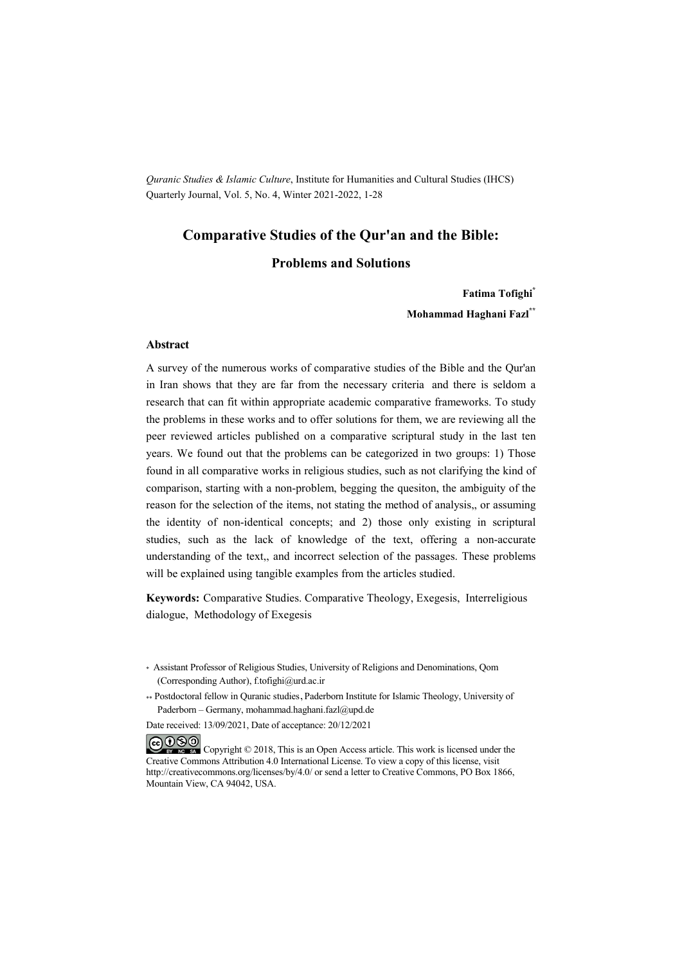*Quranic Studies & Islamic Culture*, Institute for Humanities and Cultural Studies (IHCS) Quarterly Journal, Vol. 5, No. 4, Winter 2021-2022, 1-28

# **Comparative Studies of the Qur'an and the Bible:**

#### **Problems and Solutions**

**Fatima Tofighi\***

**Mohammad Haghani Fazl\*\***

#### **Abstract**

A survey of the numerous works of comparative studies of the Bible and the Qur'an in Iran shows that they are far from the necessary criteria and there is seldom a research that can fit within appropriate academic comparative frameworks. To study the problems in these works and to offer solutions for them, we are reviewing all the peer reviewed articles published on a comparative scriptural study in the last ten years. We found out that the problems can be categorized in two groups: 1) Those found in all comparative works in religious studies, such as not clarifying the kind of comparison, starting with a non-problem, begging the quesiton, the ambiguity of the reason for the selection of the items, not stating the method of analysis,, or assuming the identity of non-identical concepts; and 2) those only existing in scriptural studies, such as the lack of knowledge of the text, offering a non-accurate understanding of the text,, and incorrect selection of the passages. These problems will be explained using tangible examples from the articles studied.

**Keywords:** Comparative Studies. Comparative Theology, Exegesis, Interreligious dialogue, Methodology of Exegesis

\*\* Postdoctoral fellow in Quranic studies, Paderborn Institute for Islamic Theology, University of Paderborn – Germany, mohammad.haghani.fazl@upd.de

Date received: 13/09/2021, Date of acceptance: 20/12/2021

COOO Copyright © 2018, This is an Open Access article. This work is licensed under the Creative Commons Attribution 4.0 International License. To view a copy of this license, visit http://creativecommons.org/licenses/by/4.0/ or send a letter to Creative Commons, PO Box 1866, Mountain View, CA 94042, USA.

<sup>\*</sup> Assistant Professor of Religious Studies, University of Religions and Denominations, Qom (Corresponding Author), f.tofighi@urd.ac.ir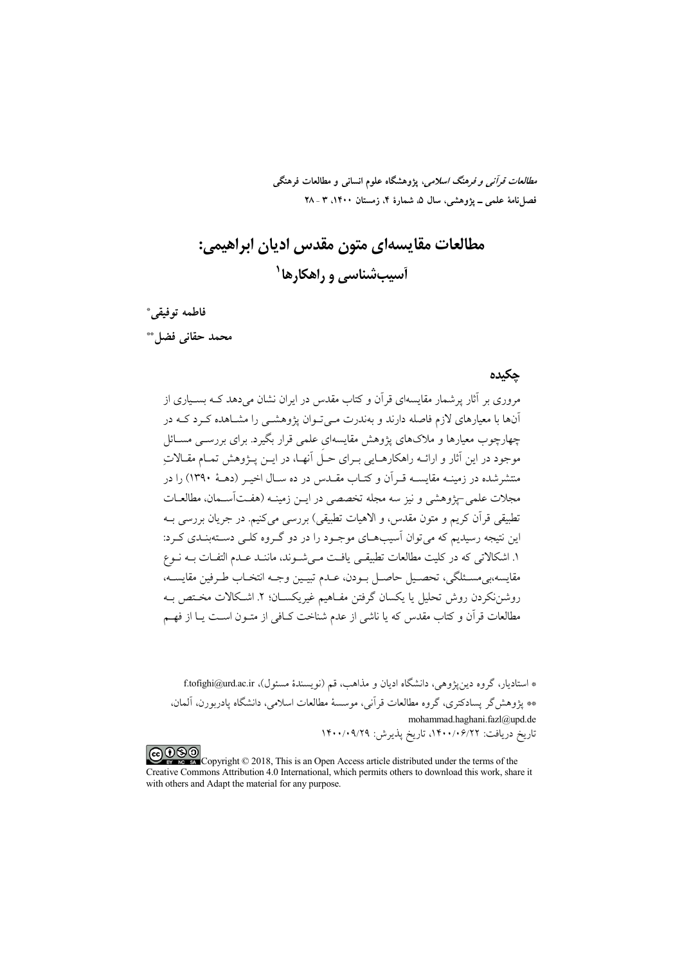*مطالعات قرآنی و فرهنگ اسلامی*، پژوهشگاه علوم انسانی و مطالعات فرهنگی فصل نامهٔ علمی ــ پژوهشی، سال ۵، شمارهٔ ۴، زمستان ۱۴۰۰، ۳ ـ ۲۸

مطالعات مقايسەاي متون مقدس اديان ابراهيمي: آسیبشناسی و راهکارها<sup>۱</sup>

فاطمه توفيقي\* محمد حقاني فضاحه

#### حكىدە

مروری بر آثار پرشمار مقایسهای قرآن و کتاب مقدس در ایران نشان می دهد کــه بســباری از آنها با معیارهای لازم فاصله دارند و بهندرت مے تـوان پژوهشــی را مشــاهده کــرد کــه در .<br>چهارچوب معیارها و ملاکهای یژوهش مقایسهای علمی قرار بگیرد. برای بررســی مســائل موجود در این آثار و ارائیه راهکارهبایی سرای حبل آنهبا، در اسن بیژوهش تمبام مقبالات منتشرشده در زمینـه مقایســه قــرآن و کتــاب مقــدس در ده ســال اخیــر (دهــهٔ ۱۳۹۰) را در مجلات علمی-بژوهشی و نیز سه مجله تخصصی در این زمینیه (هفتآسیمان، مطالعیات تطبيقي قرآن كريم و متون مقدس، و الاهيات تطبيقي) بررسي ميكنيم. در جريان بررسي بــه این نتیجه رسیدیم که می توان آسیبههای موجبود را در دو گیروه کلبی دستهبنیدی کیرد: ١. اشكالاتي كه در كليت مطالعات تطبيقـي يافـت مـي شـوند، ماننـد عـدم التفـات بـه نـوع مقايسه،بي مسـئلگي، تحصـيل حاصـل بـودن، عـدم تبيـين وجـه انتخـاب طـرفين مقايســه، روشننكردن روش تحليل يا يكسان گرفتن مفـاهيم غيريكسـان؛ ٢. اشـكالات مخـتص بـه مطالعات قرآن و کتاب مقدس که یا ناشی از عدم شناخت کیافی از متبون است پیا از فهیم

\* استادبار، گروه دین یژوهی، دانشگاه ادبان و مذاهب، قم (نویسندهٔ مسئول)، f.tofighi@urd.ac.ir \*\* يژوهش گر پسادكترى، گروه مطالعات قرآنى، موسسهٔ مطالعات اسلامى، دانشگاه يادربورن، آلمان، mohammad.haghani.fazl@upd.de تاريخ دريافت: ١۴٠٠/٠۶/٢٢، تاريخ پذيرش: ١۴٠٠/٠٩/٢٩

COOD experience Copyright © 2018, This is an Open Access article distributed under the terms of the Creative Commons Attribution 4.0 International, which permits others to download this work, share it with others and Adapt the material for any purpose.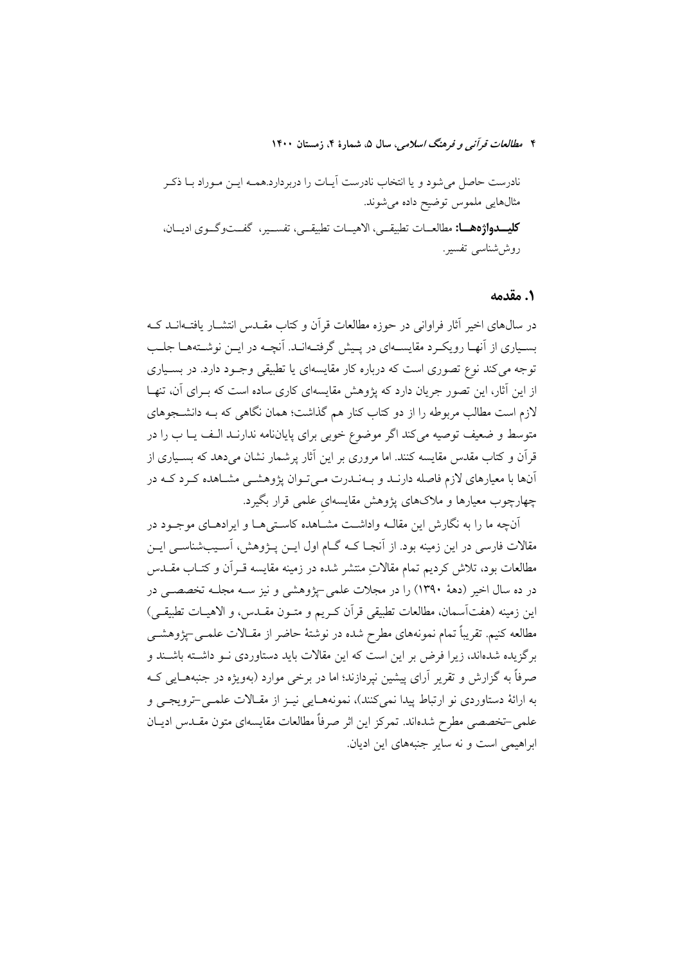#### ١. مقدمه

در سال@های اخیر آثار فراوانی در حوزه مطالعات قرآن و کتاب مقــدس انتشــار یافتــهانــد کــه بسیاری از آنهـا رویکـرد مقایسـهای در پـیش گرفتـهانـد. آنچـه در ایـن نوشـتههـا جلـب توجه مي کند نوع تصوري است که درباره کار مقايسهاي يا تطبيقي وجـود دارد. در بسـياري از این آثار، این تصور جریان دارد که پژوهش مقایسهای کاری ساده است که بـرای آن، تنهـا لازم است مطالب مربوطه را از دو کتاب کنار هم گذاشت؛ همان نگاهی که بـه دانشــجوهای متوسط و ضعیف توصیه میکند اگر موضوع خوبی برای پایاننامه ندارنـد الـف یــا ب را در قرآن و کتاب مقدس مقایسه کنند. اما مروری بر این آثار پرشمار نشان میدهد که بسـیاری از آنها با معیارهای لازم فاصله دارنـد و بـهنـدرت مـیتوان پژوهشـی مشـاهده کـرد کـه در چهارچوب معیارها و ملاکهای یژوهش مقایسهای علمی قرار بگیرد.

آنچه ما را به نگارش این مقالــه واداشــت مشــاهده کاسـتی هــا و ایرادهــای موجــود در مقالات فارسی در این زمینه بود. از آنجــا کــه گــام اول ایــن پــژوهش، آســیبشناســی ایــن مطالعات بود، تلاش کردیم تمام مقالاتِ منتشر شده در زمینه مقایسه قـراَن و کتـاب مقــدس در ده سال اخیر (دههٔ ۱۳۹۰) را در مجلات علمی –یژوهشی و نیز ســه مجلــه تخصصــی در اين زمينه (هفتآسمان، مطالعات تطبيقي قرأن كـريم و متـون مقــدس، و الاهيــات تطبيقــي) مطالعه کنیم. تقریباً تمام نمونههای مطرح شده در نوشتهٔ حاضر از مقـالات علمــی-پژوهشــی برگزیده شدهاند، زیرا فرض بر این است که این مقالات باید دستاوردی نـو داشـته باشـند و صرفاً به گزارش و تقریر آرای پیشین نیردازند؛ اما در برخی موارد (بهویژه در جنبههـایی کـه به ارائهٔ دستاوردی نو ارتباط پیدا نمی کنند)، نمونههـایی نیـز از مقـالات علمـی-ترویجـی و علمي-تخصصي مطرح شدهاند. تمركز اين اثر صرفاً مطالعات مقايسهاي متون مقـدس اديـان ابراهيمي است و نه ساير جنبههاي اين اديان.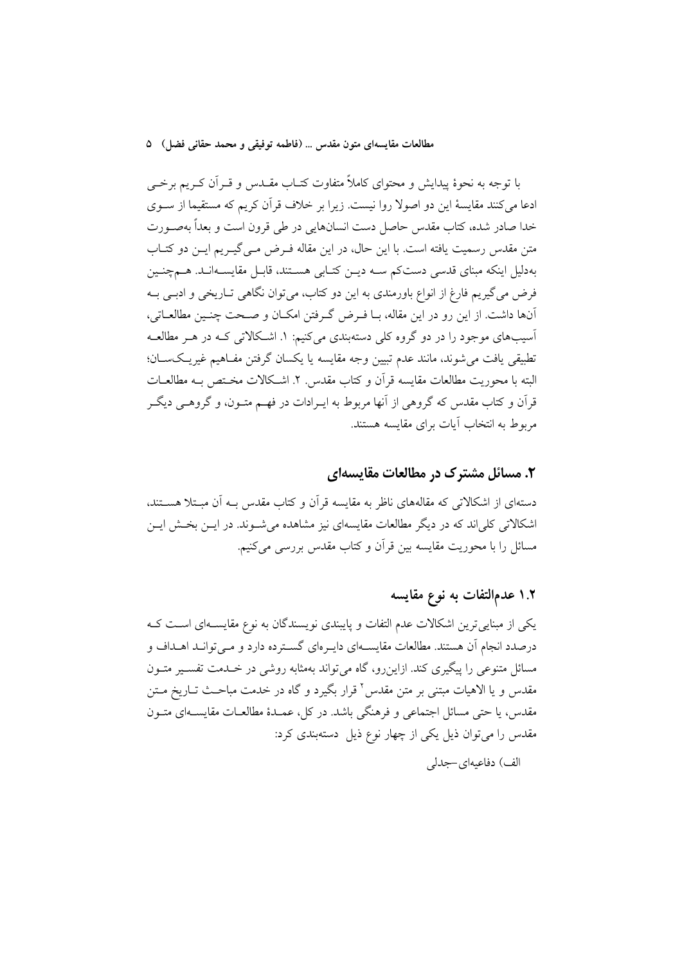با توجه به نحوهٔ پیدایش و محتوای کاملاً متفاوت کتـاب مقــدس و قــراَن کــریم برخــی ادعا می کنند مقایسهٔ این دو اصولا روا نیست. زیرا بر خلاف قرآن کریم که مستقیما از سـوی خدا صادر شده، كتاب مقدس حاصل دست انسانهايي در طي قرون است و بعداً بهصـورت متن مقدس رسمیت یافته است. با این حال، در این مقاله فـرض مـی گیـریم ایــن دو کتــاب بهدلیل اینکه مبنای قدسی دستکم ســه دیــن کتــابی هســتند، قابــل مقایســهانــد. هــمچنــین فرض می گیریم فارغ از انواع باورمندی به این دو کتاب، میتوان نگاهی تـاریخی و ادبـی بــه آنها داشت. از این رو در این مقاله، بـا فـرض گـرفتن امکـان و صـحت چنـین مطالعـاتی، آسیبهای موجود را در دو گروه کلم دستهبندی می کنیم: ۱. اشـکالاتی کـه در هـر مطالعـه تطبیقی یافت می شوند، مانند عدم تبیین وجه مقایسه یا یکسان گرفتن مفـاهیم غیریـکســان؛ البته با محوريت مطالعات مقايسه قرأن و كتاب مقدس. ٢. اشـكالات مخـتص بــه مطالعــات قرآن و کتاب مقدس که گروهی از آنها مربوط به ایـرادات در فهـم متــون، و گروهــی دیگــر مربوط به انتخاب آبات برای مقایسه هستند.

## ۲. مسائل مشترک در مطالعات مقایسهای

دستهای از اشکالاتی که مقالههای ناظر به مقایسه قرآن و کتاب مقدس بــه آن مبــتلا هســتند، اشکالاتی کلی(ند که در دیگر مطالعات مقایسهای نیز مشاهده می شـوند. در ایــن بخــش ایــن مسائل را با محوریت مقایسه بین قرآن و کتاب مقدس بررسی میکنیم.

## ۱.۲ عدمالتفات به نوع مقايسه

یکی از مبنایی ترین اشکالات عدم التفات و پایبندی نویسندگان به نوع مقایسـهای اسـت کـه درصدد انجام آن هستند. مطالعات مقایســهای دایـرهای گســترده دارد و مــی توانــد اهــداف و مسائل متنوعی را پیگیری کند. ازاین٫رو، گاه میتواند بهمثابه روشی در خــدمت تفســیر متــون مقدس و یا الاهیات مبتنی بر متن مقدس<sup>۲</sup> قرار بگیرد و گاه در خدمت مباحـث تــاریخ مــتن مقدس، یا حتی مسائل اجتماعی و فرهنگی باشد. در کل، عمـدهٔ مطالعـات مقایســهای متــون مقدس را می توان ذیل یکی از چهار نوع ذیل دستهبندی کرد:

الف) دفاعيهاي-جدلي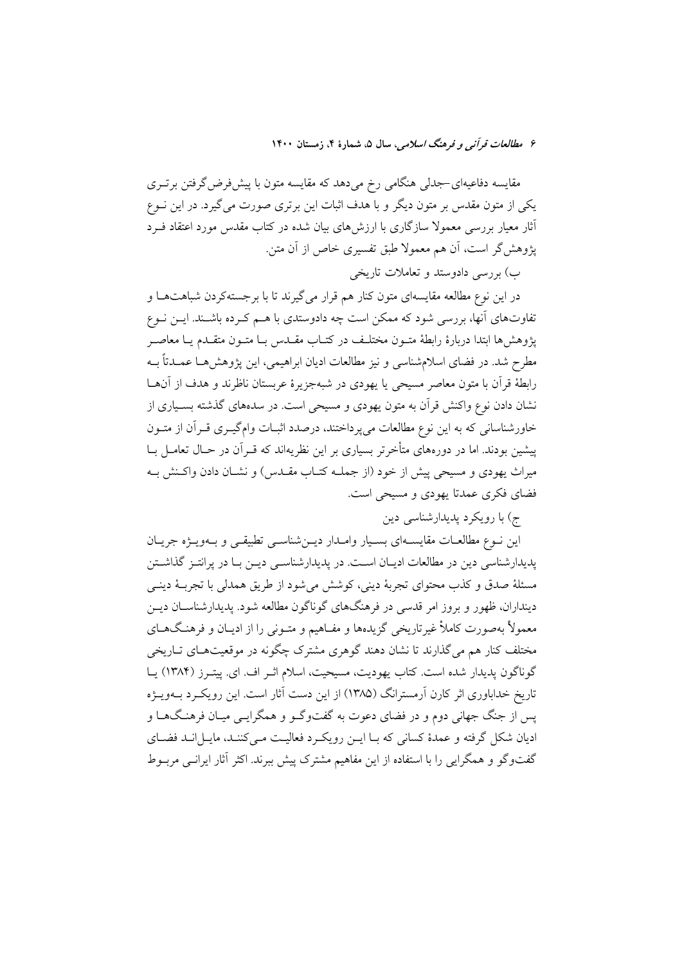مقایسه دفاعیهای-جدلی هنگامی رخ میدهد که مقایسه متون با پیشفررض گرفتن برتــری یکی از متون مقدس بر متون دیگر و با هدف اثبات این برتری صورت می گیرد. در این نــوع آثار معیار بررسی معمولا سازگاری با ارزش۵های بیان شده در کتاب مقدس مورد اعتقاد فــرد يژوهش گر است، اَن هم معمولا طبق تفسيري خاص از اَن متن.

ب) بررسی دادوستد و تعاملات تاریخی

در این نوع مطالعه مقایسهای متون کنار هم قرار می گیرند تا با برجستهکردن شباهتهـا و تفاوتهای آنها، بررسی شود که ممکن است چه دادوستدی با هـم کـرده باشـند. ایــن نــوع يژوهش ها ابتدا دربارهٔ رابطهٔ متـون مختلـف در کتـاب مقـدس بـا متـون متقـدم يـا معاصـر مطرح شد. در فضای اسلامشناسی و نیز مطالعات ادیان ابراهیمی، این پژوهشهـا عمــدتاً بــه رابطهٔ قرآن با متون معاصر مسیحی یا یهودی در شبهجزیرهٔ عربستان ناظرند و هدف از آنهــا نشان دادن نوع واکنش قرآن به متون یهودی و مسیحی است. در سدههای گذشته بسـیاری از خاورشناسانی که به این نوع مطالعات میپرداختند، درصدد اثبـات وامگیـری قـرآن از متـون پیشین بودند. اما در دورههای متأخرتر بسیاری بر این نظریهاند که قـرآن در حـال تعامــل بــا میراث یهودی و مسیحی پیش از خود (از جملـه کتـاب مقــدس) و نشــان دادن واکــنش بــه فضای فکری عمدتا یهودی و مسیحی است.

ج) با رویکرد پدیدارشناسی دین

این نـوع مطالعـات مقایسـهای بسـیار وامـدار دیــنشناسـی تطبیقــی و بـهویــژه جریــان پدیدارشناسی دین در مطالعات ادیـان اسـت. در پدیدارشناسـی دیـن بـا در پرانتـز گذاشـتن مسئلهٔ صدق و کذب محتوای تجربهٔ دینی، کوشش میشود از طریق همدلی با تجربـهٔ دینــی دینداران، ظهور و بروز امر قدسی در فرهنگهای گوناگون مطالعه شود. پدیدارشناســان دیــن معمولاً بهصورت کاملاً غیرتاریخی گزیدهها و مفـاهیم و متـونی را از ادیــان و فرهنـگ۱مـای مختلف کنار هم میگذارند تا نشان دهند گوهری مشترک چگونه در موقعیتهـای تــاریخی گوناگون پدیدار شده است. کتاب یهودیت، مسیحیت، اسلام اثـر اف. ای. پیتـرز (۱۳۸۴) یــا تاریخ خداباوری اثر کارن آرمسترانگ (۱۳۸۵) از این دست آثار است. این رویک د بــهویــژه یس از جنگ جهانی دوم و در فضای دعوت به گفتوگـو و همگرایـی میـان فرهنـگهـا و ادیان شکل گرفته و عمدهٔ کسانی که بـا ایــن رویکــرد فعالیــت مــی کننــد، مایــل|نــد فضــای گفتوگو و همگرایی را با استفاده از این مفاهیم مشترک پیش ببرند. اکثر آثار ایرانبی مربوط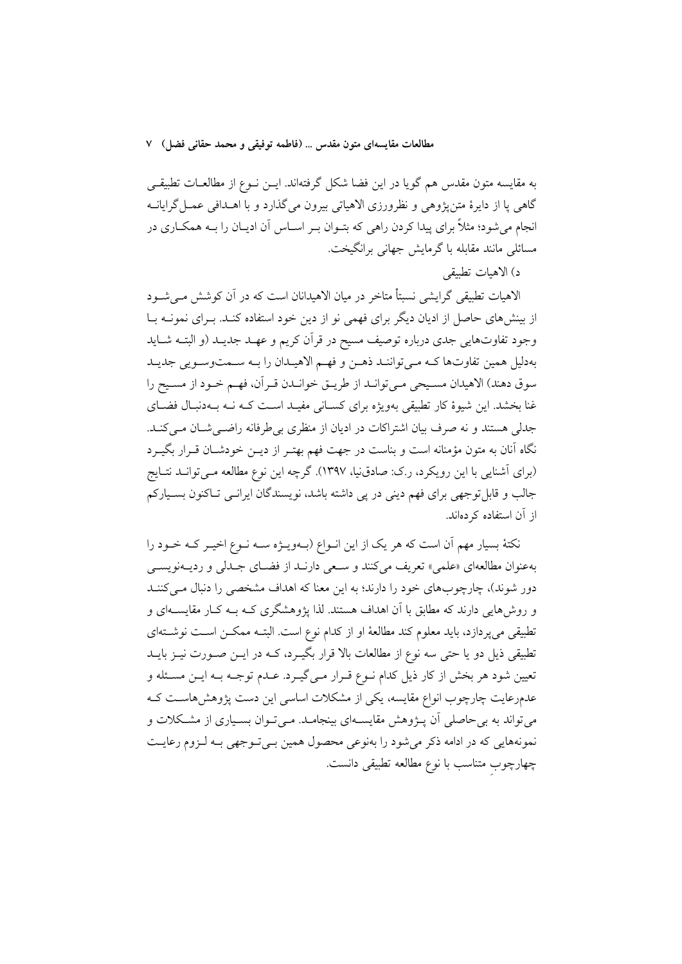به مقایسه متون مقدس هم گویا در این فضا شکل گرفتهاند. ایــن نــوع از مطالعــات تطبیقــی گاهی یا از دایرهٔ متن یژوهی و نظرورزی الاهیاتی بیرون می گذارد و با اهــدافی عمــل گرایانــه انجام میشود؛ مثلاً برای پیدا کردن راهی که بتـوان بـر اسـاس آن ادیـان را بـه همکـاری در مسائلی مانند مقابله با گرمایش جهانی برانگیخت.

د) الاهيات تطبيقي

الاهیات تطبیقی گرایشی نسبتاً متاخر در میان الاهیدانان است که در آن کوشش مے شـود از بینشهای حاصل از ادیان دیگر برای فهمی نو از دین خود استفاده کنـد. بـرای نمونـه بـا وجود تفاوتهایی جدی درباره توصیف مسیح در قرآن کریم و عهـد جدیـد (و البتـه شـاید بهدلیل همین تفاوتها کـه مـيتواننـد ذهـن و فهـم الاهيـدان را بـه سـمتوسـويي جديـد سوق دهند) الاهيدان مسـيحي مـي توانـد از طريــق خوانــدن قــر آن، فهــم خــود از مسـيح را غنا بخشد. این شیوهٔ کار تطبیقی بهویژه برای کسـانی مفیـد اسـت کـه نـه بـهدنبـال فضـای جدلی هستند و نه صرف بیان اشتراکات در ادیان از منظری بی طرفانه راضبی شبان مبی کنید. نگاه آنان به متون مؤمنانه است و بناست در جهت فهم بهتـر از ديــن خودشــان قــرار بگيــرد (برای اَشنایی با این رویکرد، ر.ک: صادق(یا، ۱۳۹۷). گرچه این نوع مطالعه مـی توانــد نتــایج جالب و قابل توجهي براي فهم ديني در يي داشته باشد، نويسندگان ايرانــي تــاكنون بســياركم از آن استفاده کر دهاند.

نکتهٔ بسیار مهم آن است که هر یک از این انـواع (بـهویـژه سـه نـوع اخیـر کـه خـود را بهعنوان مطالعهای «علمی» تعریف میکنند و سعی دارنـد از فضـای جـدلی و ردیـهنویســی دور شوند)، چارچوبهای خود را دارند؛ به این معنا که اهداف مشخصی را دنبال مـی کننـد و روش(هایی دارند که مطابق با آن اهداف هستند. لذا پژوهشگری کـه بــه کــار مقایســهای و تطبیقی می پردازد، باید معلوم کند مطالعهٔ او از کدام نوع است. البتـه ممکــن اســت نوشــتهای تطبیقی ذیل دو یا حتی سه نوع از مطالعات بالا قرار بگیـرد، کــه در ایــن صــورت نیــز بایــد تعیین شود هر بخش از کار ذیل کدام نـوع قـرار مـی&یـرد. عـدم توجـه بـه ایــن مسـئله و عدمرعایت چارچوب انواع مقایسه، یکی از مشکلات اساسی این دست پژوهشهاسـت کـه می تواند به بی حاصلی آن پــژوهش مقایســهای بینجامــد. مــی تــوان بســیاری از مشــکلات و نمونههایی که در ادامه ذکر میشود را بهنوعی محصول همین بـیتـوجهی بـه لـزوم رعایـت چهارچوب متناسب با نوع مطالعه تطبیقی دانست.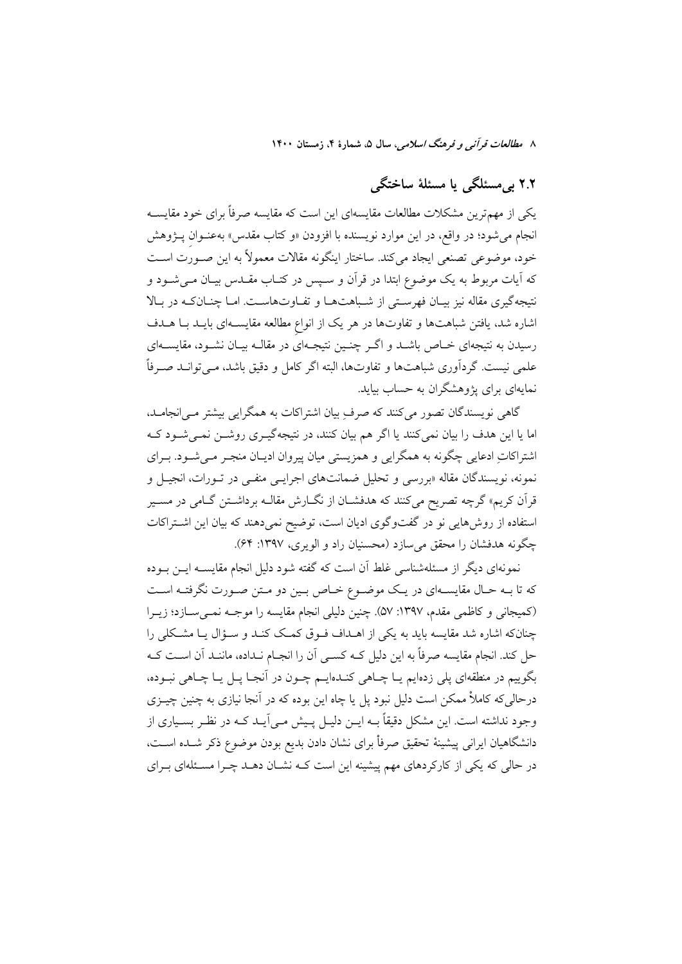# ۲.۲ بے مسئلگی یا مسئلهٔ ساختگی

یکی از مهمترین مشکلات مطالعات مقایسهای این است که مقایسه صرفاً برای خود مقایســه انجام می شود؛ در واقع، در این موارد نویسنده با افزودن «و کتاب مقدس» بهعنــوان پــژوهش خود، موضوعی تصنعی ایجاد می کند. ساختار اینگونه مقالات معمولاً به این صـورت اسـت که آیات مربوط به یک موضوع ابتدا در قرآن و سـپس در کتـاب مقـدس بیـان مـیشــود و نتیجهگیری مقاله نیز بیـان فهرسـتی از شـباهتهـا و تفـاوتهاسـت. امـا چنـانکـه در بـالا اشاره شد، یافتن شباهتها و تفاوتها در هر یک از انواع مطالعه مقایســهای بایــد بــا هــدف رسیدن به نتیجهای خــاص باشــد و اگــر چنــین نتیجــهای در مقالــه بیــان نشــود، مقایســهای علمی نیست. گردآوری شباهتها و تفاوتها، البته اگر کامل و دقیق باشد، مـیتوانــد صـرفاً نمایهای برای پژوهشگران به حساب بیاید.

گاهی نویسندگان تصور میکنند که صرفِ بیان اشتراکات به همگرایی بیشتر مـی|نجامــد، اما یا این هدف را بیان نمی کنند یا اگر هم بیان کنند، در نتیجهگیـری روشــن نمــی شــود کــه اشتراکات ادعایی چگونه به همگرایی و همزیستی میان پیروان ادیـان منجـر مـی شـود. بـرای نمونه، نویسندگان مقاله «بررسی و تحلیل ضمانتهای اجرایــی منفــی در تــورات، انجیــل و قرآن کریم» گرچه تصریح می کنند که هدفشــان از نگــارش مقالــه برداشــتن گــامی در مســیر استفاده از روشهایی نو در گفتوگوی ادیان است، توضیح نمی دهند که بیان این اشتراکات چگونه هدفشان را محقق می سازد (محسنیان راد و الویری، ۱۳۹۷: ۶۴).

نمونهای دیگر از مسئلهشناسی غلط آن است که گفته شود دلیل انجام مقایســه ایــن بــوده که تا بـه حـال مقایسـهای در یـک موضـوع خـاص بـین دو مـتن صـورت نگرفتـه اسـت (کمیجانی و کاظمی مقدم، ۱۳۹۷: ۵۷). چنین دلیلی انجام مقایسه را موجـه نمـیسـازد؛ زیـرا چنانکه اشاره شد مقایسه باید به یکی از اهـداف فـوق کمـک کنـد و سـؤال یـا مشـکلی را حل كند. انجام مقايسه صرفاً به اين دليل كــه كســي أن را انجــام نــداده، ماننــد أن اســت كــه .<br>بگوییم در منطقهای پلی زدهایم یـا چــاهی کنــدهایــم چــون در آنجـا یــل یــا چــاهی نبــوده، درحالی که کاملاً ممکن است دلیل نبود پل یا چاه این بوده که در آنجا نیازی به چنین چیــزی وجود نداشته است. این مشکل دقیقاً بــه ایــن دلیــل پــیش مــی]یــد کــه در نظـر بســیاری از دانشگاهیان ایرانی پیشینهٔ تحقیق صرفاْ برای نشان دادن بدیع بودن موضوع ذکر شـده اسـت، در حالی که یکی از کارکردهای مهم پیشینه این است کـه نشـان دهـد چـرا مسـئلهای بـرای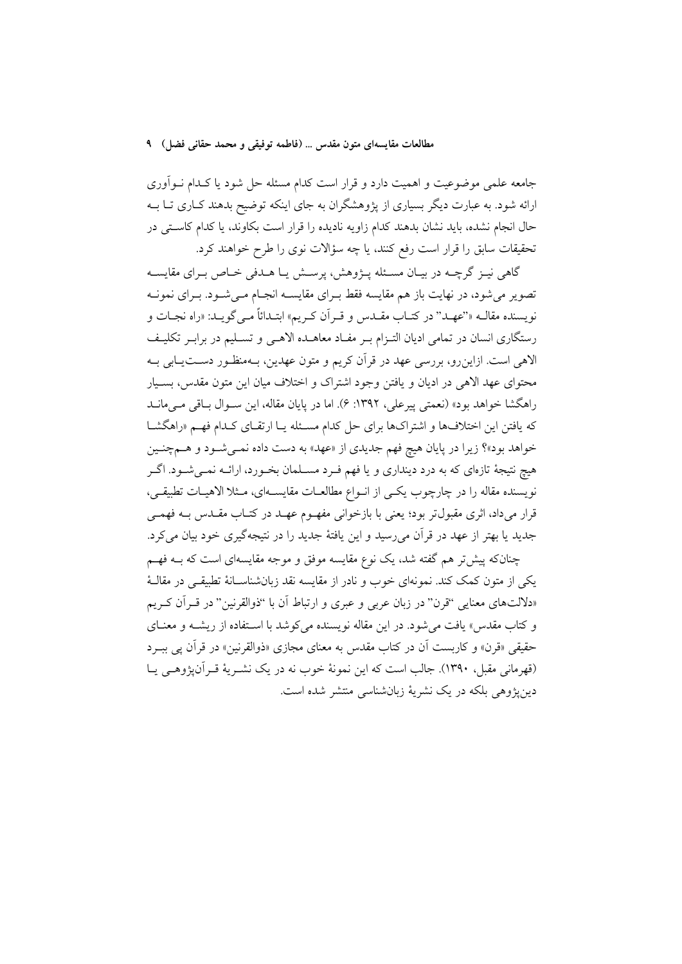جامعه علمی موضوعیت و اهمیت دارد و قرار است کدام مسئله حل شود یا کـدام نــوآوری ارائه شود. به عبارت دیگر بسیاری از پژوهشگران به جای اینکه توضیح بدهند کـاری تـا بــه حال انجام نشده، باید نشان بدهند کدام زاویه نادیده را قرار است بکاوند، یا کدام کاستی در تحقیقات سابق را قرار است رفع کنند، یا چه سؤالات نوی را طرح خواهند کرد.

گاهي نيـز گرچــه در بيـان مسـئله پــژوهش، پرســش يـا هــدفي خــاص بــراي مقايســه تصویر می شود، در نهایت باز هم مقایسه فقط بـرای مقایســه انجـام مــی شــود. بــرای نمونــه نويسنده مقالــه «''عهــد'' در كتــاب مقــدس و قــر أن كــريم» ابتــدائاً مــي گويــد: «راه نجــات و رستگاری انسان در تمامی ادیان التـزام بـر مفـاد معاهـده الاهـی و تسـليم در برابـر تكليـف الاهی است. ازاین رو، بررسی عهد در قرآن کریم و متون عهدین، بـهمنظـور دســتیـابی بـه محتواي عهد الاهي در ادبان و يافتن وجود اشتراك و اختلاف مبان اين متون مقدس، بسـبار راهگشا خواهد بود» (نعمتی پیرعلی، ۱۳۹۲: ۶). اما در پایان مقاله، این سـوال بـاقی مـیمانـد که یافتن این اختلافها و اشتراکها برای حل کدام مسئله یـا ارتقـای کـدام فهـم «راهگشـا خواهد بود»؟ زیرا در پایان هیچ فهم جدیدی از «عهد» به دست داده نمـیشـود و هـمچنـین هیچ نتیجهٔ تازهای که به درد دینداری و یا فهم فـرد مسـلمان بخـورد، ارائــه نمــیشــود. اگــر نویسنده مقاله را در چارچوب یکـی از انـواع مطالعـات مقایســهای، مـثلا الاهیـات تطبیقـی، قرار میداد، اثری مقبول تر بود؛ یعنی با بازخوانی مفهـوم عهـد در کتـاب مقـدس بــه فهمـی جدید یا بهتر از عهد در قرآن میرسید و این یافتهٔ جدید را در نتیجهگیری خود بیان میکرد.

چنانکه پیش تر هم گفته شد، یک نوع مقایسه موفق و موجه مقایسهای است که بــه فهــم یکی از متون کمک کند. نمونهای خوب و نادر از مقایسه نقد زبانشناسـانهٔ تطبیقـی در مقالـهٔ «دلالتهای معنایی "قرن" در زبان عربی و عبری و ارتباط آن با "ذوالقرنین" در قـرآن کـریم و کتاب مقدس» یافت می شود. در این مقاله نویسنده می کوشد با استفاده از ریشــه و معنــای حقيقي «قرن» و كاربست أن در كتاب مقدس به معناي مجازي «ذوالقرنين» در قرأن يي ببـرد (قهرمانی مقبل، ۱۳۹۰). جالب است که این نمونهٔ خوب نه در یک نشـریهٔ قـرآن&وهـی یـا دينيژوهي بلكه در يک نشريهٔ زبانشناسي منتشر شده است.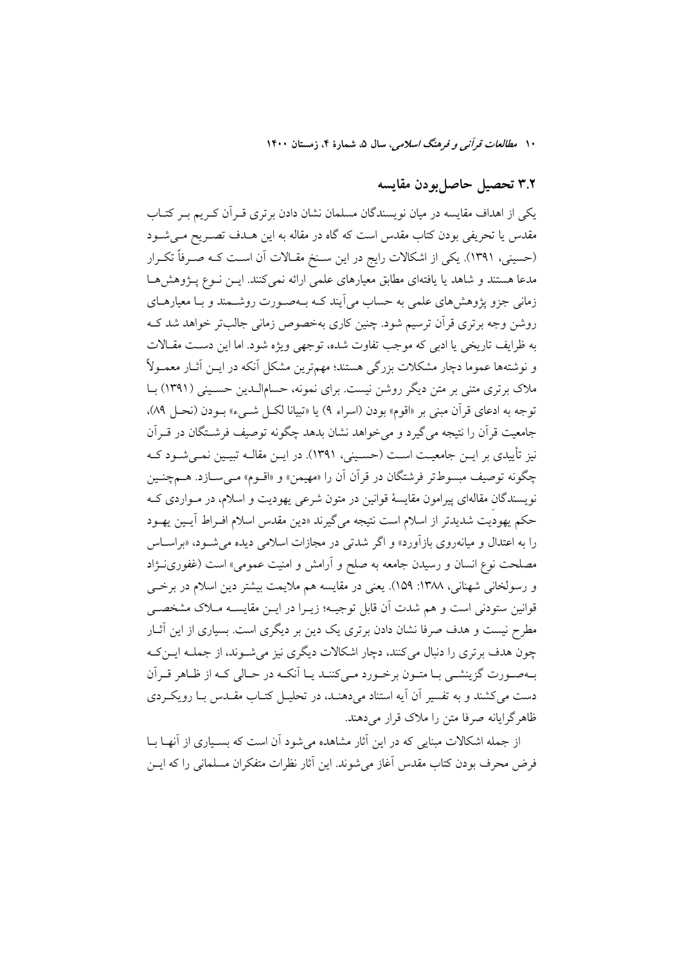## ٣.٢ تحصيل حاصل بودن مقايسه

یکی از اهداف مقایسه در میان نویسندگان مسلمان نشان دادن برتری قـرآن کـریم بـر کتـاب مقدس یا تحریفی بودن کتاب مقدس است که گاه در مقاله به این هــدف تصــریح مــیشــود (حسینی، ۱۳۹۱). یکی از اشکالات رایج در این سـنخ مقـالات آن اسـت کـه صـرفاً تکـرار مدعا هستند و شاهد یا یافتهای مطابق معیارهای علمی ارائه نمیکنند. ایــن نــوع پــژوهش۵ـا زمانی جزو پژوهشهای علمی به حساب میآیند کـه بـهصـورت روشــمند و بــا معیارهــای روشن وجه برتری قرأن ترسیم شود. چنین کاری بهخصوص زمانی جالبتر خواهد شد ک به ظرايف تاريخي يا ادبي كه موجب تفاوت شده، توجهي ويژه شود. اما اين دست مقــالات و نوشتهها عموما دچار مشکلات بزرگی هستند؛ مهمترین مشکل آنکه در ایــن آثــار معمــولاً ملاک برتری متنی بر متن دیگر روشن نیست. برای نمونه، حسامالـدین حسـینی (۱۳۹۱) بــا توجه به ادعاي قرآن مبني بر «اقوم» بودن (اسراء ٩) يا «تبيانا لكـل شـيء» بـودن (نحـل ٨٩). جامعیت قرآن را نتیجه می گیرد و می خواهد نشان بدهد چگونه توصیف فرشــتگان در قــرآن نیز تأییدی بر ایــن جامعیــت اســت (حسـینی، ۱۳۹۱). در ایــن مقالــه تبیــین نمــیشــود کــه چگونه توصيف مېسوطتر فرشتگان در قرآن آن را «مهيمن» و «اقسوم» مـي ســازد. هــمچنـين نویسندگان مقالهای پیرامون مقایسهٔ قوانین در متون شرعی یهودیت و اسلام، در مـواردی کـه حکم یهودیت شدیدتر از اسلام است نتیجه میگیرند «دین مقدس اسلام افـراط آیـین یهـود را به اعتدال و میانهروی بازآورد» و اگر شدتی در مجازات اسلامی دیده می شـود، «براسـاس مصلحت نوع انسان و رسیدن جامعه به صلح و آرامش و امنیت عمومی» است (غفورینــژاد و رسولخاني شهناني، ١٣٨٨: ١۵٩). يعني در مقايسه هم ملايمت بيشتر دين اسلام در برخــي قوانین ستودنی است و هم شدت آن قابل توجیـه؛ زیـرا در ایــن مقایســه مــلاک مشخصــی مطرح نیست و هدف صرفا نشان دادن برتری یک دین بر دیگری است. بسیاری از این آثــار چون هدف برتری را دنبال میکنند، دچار اشکالات دیگری نیز می شوند، از جملـه ایــنکـه بهصورت گزینشبی بیا متبون برخبورد می کننید پیا آنکیه در حیالی کیه از ظیاهر قبرآن دست می کشند و به تفسیر آن آیه استناد می دهنـد، در تحلیـل کتـاب مقـدس بـا رویکـردی ظاهر گرایانه صرفا متن را ملاک قرار می دهند.

از جمله اشکالات مبنایی که در این آثار مشاهده می شود آن است که بسـیاری از آنهـا بــا فرض محرف بودن كتاب مقدس أغاز مى شوند. اين أثار نظرات متفكران مسلماني را كه ايــن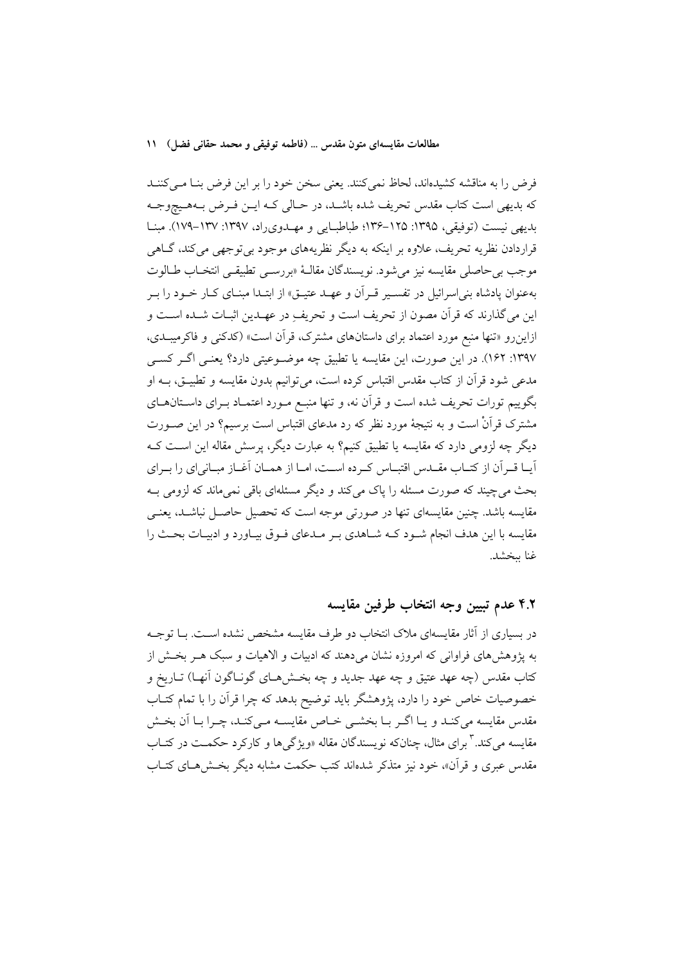فرض را به مناقشه كشيدهاند، لحاظ نمي كنند. يعني سخن خود را بر اين فرض بنـا مـي كننـد كه بديهي است كتاب مقدس تحريف شده باشـد، در حـالي كـه ايــن فـرض بــههــيچوجــه بدیهی نیست (توفیقی، ۱۳۹۵: ۱۲۵–۱۳۶؛ طباطبایی و مهـدوی(اد، ۱۳۹۷: ۱۳۷–۱۷۹). مبنـا قراردادن نظریه تحریف، علاوه بر اینکه به دیگر نظریههای موجود بی توجهی می کند، گــاهی موجب بي حاصلي مقايسه نيز مي شود. نويسندگان مقالـهٔ «بررسـي تطبيقـي انتخـاب طــالوت بهعنوان یادشاه بنی اسرائیل در تفسـیر قـراَن و عهـد عتیـق» از ابتـدا مبنـای کـار خـود را بـر این میگذارند که قرآن مصون از تحریف است و تحریف در عهـدین اثبـات شـده اسـت و ازاینرو «تنها منبع مورد اعتماد برای داستانهای مشترک، قرآن است» (کدکنی و فاکرمیبـدی، ۱۳۹۷: ۱۶۲). در این صورت، این مقایسه یا تطبیق چه موضـوعیتی دارد؟ یعنـی اگـر کسـی .<br>مدعی شود قرآن از کتاب مقدس اقتباس کرده است، می توانیم بدون مقایسه و تطبیــق، بــه او بگوییم تورات تحریف شده است و قرآن نه، و تنها منبـع مـورد اعتمـاد بـرای داسـتان۱مـای مشترک قرآنْ است و به نتیجهٔ مورد نظر که رد مدعای اقتباس است برسیم؟ در این صـورت دیگر چه لزومی دارد که مقایسه یا تطبیق کنیم؟ به عبارت دیگر، پرسش مقاله این اسـت کــه آيــا قــراّن از كتــاب مقــدس اقتبــاس كــرده اســت، امــا از همــان آغــاز مبــاني|ي را بــراي بحث مي چيند كه صورت مسئله را ياك مي كند و ديگر مسئلهاي باقي نمي ماند كه لزومي بـه .<br>مقایسه باشد. چنین مقایسهای تنها در صورتی موجه است که تحصیل حاصـل نباشــد، یعنــی مقایسه با این هدف انجام شـود کـه شـاهدی بـر مـدعای فـوق بیـاورد و ادیبـات بحـث را غنا ببخشد.

## ۴.۲ عدم تبيين وجه انتخاب طرفين مقايسه

در بسیاری از آثار مقایسهای ملاک انتخاب دو طرف مقایسه مشخص نشده اسـت. بــا توجــه به پژوهشهای فراوانی که امروزه نشان میدهند که ادبیات و الاهیات و سبک هـر بخـش از کتاب مقدس (چه عهد عتیق و چه عهد جدید و چه بخــشهــای گونــاگون آنهــا) تــاریخ و خصوصیات خاص خود را دارد، پژوهشگر باید توضیح بدهد که چرا قرآن را با تمام کتــاب مقدس مقایسه میکند و یـا اگـر بـا بخشـی خـاص مقایســه مـیکنـد، چـرا بـا آن بخـش مقایسه می کند. ۳ برای مثال، چنانکه نویسندگان مقاله «ویژگیها و کارکرد حکمــت در کتــاب مقدس عبری و قرأن»، خود نیز متذکر شدهاند کتب حکمت مشابه دیگر بخـش هــای کتــاب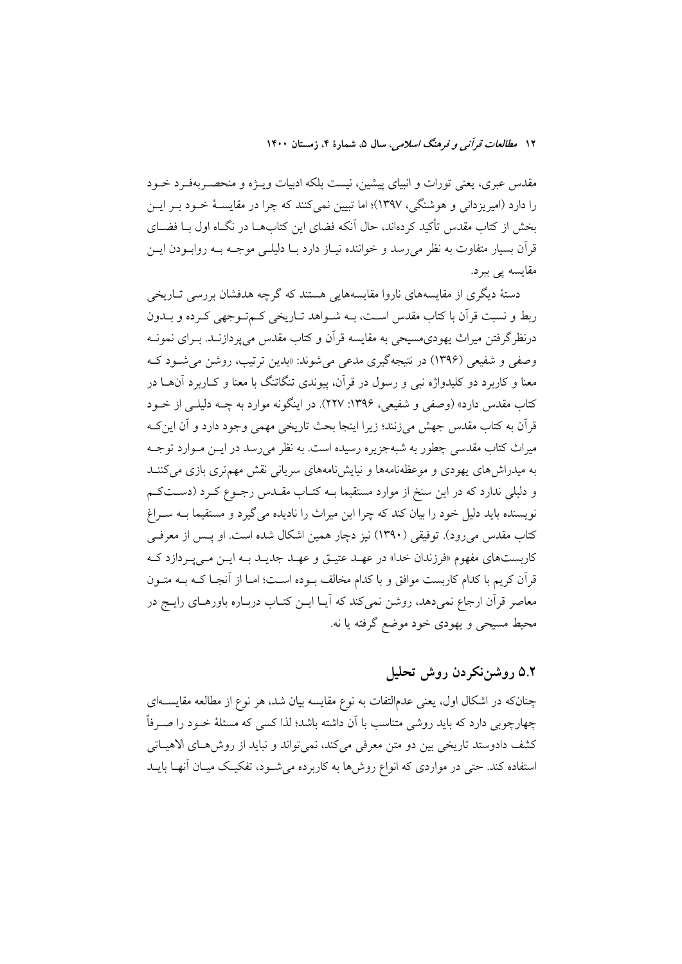مقدس عبری، یعنی تورات و انبیای پیشین، نیست بلکه ادبیات ویـژه و منحصـربهفـرد خــود را دارد (امیریزدانی و هوشنگی، ۱۳۹۷)؛ اما تبیین نمی کنند که چرا در مقایسـهٔ خــود بــر ایــن بخش از کتاب مقدس تأکید کردهاند، حال اّنکه فضای این کتابهــا در نگــاه اول بــا فضــای قرآن بسیار متفاوت به نظر می رسد و خواننده نیـاز دارد بــا دلیلــی موجــه بــه روابــودن ایــن مقايسه يې بېرد.

دستهٔ دیگری از مقایسههای ناروا مقایسههایی هستند که گرچه هدفشان بررسی تـاریخی ربط و نسبت قرآن با کتاب مقدس اسـت، بــه شــواهد تــاریخی کــم تــوجهی کــرده و بــدون درنظرگرفتن میراث یهودی.سیحی به مقایسه قرآن و کتاب مقدس میپردازنــد. بــرای نمونــه وصفي و شفيعي (١٣٩۶) در نتيجه گيري مدعي مي شوند: «بدين ترتيب، روشن مي شـود کـه معنا و کاربرد دو کلیدواژه نبی و رسول در قرآن، پیوندی تنگاتنگ با معنا و کـاربرد آن۱مـا در کتاب مقدس دارد» (وصفی و شفیعی، ۱۳۹۶: ۲۲۷). در اینگونه موارد به چــه دلیلــی از خــود قرآن به کتاب مقدس جهش می زنند؛ زیرا اینجا بحث تاریخی مهمی وجود دارد و آن این ک میراث کتاب مقدسی چطور به شبهجزیره رسیده است. به نظر میرسد در ایــن مــوارد توجــه به میدراش های یهودی و موعظهنامهها و نیایش نامههای سریانی نقش مهمتری بازی می کننــد و دلیلی ندارد که در این سنخ از موارد مستقیما بـه کتـاب مقــدس رجــوع کــرد (دســتکــم نویسنده باید دلیل خود را بیان کند که چرا این میراث را نادیده می گیرد و مستقیما بـه سـراغ کتاب مقدس می رود). توفیقی (۱۳۹۰) نیز دچار همین اشکال شده است. او پــس از معرفــی کاربستهای مفهوم «فرزندان خدا» در عهـد عتیـق و عهـد جدیـد بـه ایـن مـیپـردازد کـه قرآن کریم با کدام کاربست موافق و با کدام مخالف بـوده اسـت؛ امـا از آنجـا کــه بــه متــون معاصر قرآن ارجاع نمیدهد، روشن نمیکند که آیـا ایــن کتــاب دربــاره باورهــای رایــج در محیط مسیحی و یهودی خود موضع گرفته یا نه.

## ۵.۲ روشننکردن روش تحلیل

چنانکه در اشکال اول، یعنی عدمالتفات به نوع مقایسه بیان شد، هر نوع از مطالعه مقایســهای چهارچوبی دارد که باید روشی متناسب با آن داشته باشد؛ لذا کسی که مسئلهٔ خــود را صــرفاً كشف دادوستد تاريخي بين دو متن معرفي ميكند، نمي تواند و نبايد از روش هاى الاهياتي استفاده کند. حتی در مواردی که انواع روشها به کاربرده می شـود، تفکیـک میـان آنهـا بایــد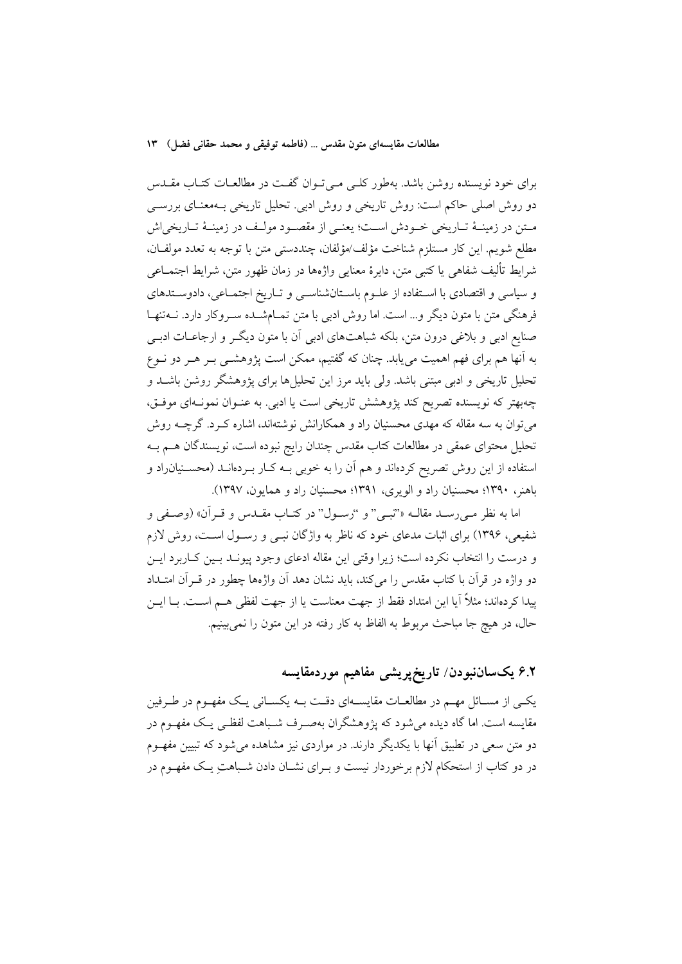برای خود نویسنده روشن باشد. بهطور کلبی می توان گفت در مطالعـات کتـاب مقـدس دو روش اصلی حاکم است: روش تاریخی و روش ادبی. تحلیل تاریخی بـهمعنـای بررســی مـتن در زمينــهٔ تــاريخي خــودش اســت؛ يعنــي از مقصــود مولــف در زمينــهٔ تــاريخي|ش مطلع شويم. اين كار مستلزم شناخت مؤلف/مؤلفان، چنددستي متن با توجه به تعدد مولفـان، شرايط تأليف شفاهي يا كتبي متن، دايرهٔ معنايي واژهها در زمان ظهور متن، شرايط اجتمــاعي و سیاسی و اقتصادی با استفاده از علـوم باسـتانشناسـی و تـاریخ اجتمـاعی، دادوسـتدهای فرهنگی متن با متون دیگر و… است. اما روش ادبی با متن تمـامشــده سـروکار دارد. نــهتنهــا صنایع ادبی و بلاغی درون متن، بلکه شباهتهای ادبی آن با متون دیگـر و ارجاعــات ادبــی به آنها هم برای فهم اهمیت می،یابد. چنان که گفتیم، ممکن است پژوهشــی بــر هــر دو نــوع تحلیل تاریخی و ادبی مبتنی باشد. ولی باید مرز این تحلیلها برای پژوهشگر روشن باشـد و چهبهتر که نویسنده تصریح کند پژوهشش تاریخی است یا ادبی. به عنـوان نمونـهای موفـق، می توان به سه مقاله که مهدی محسنیان راد و همکارانش نوشتهاند، اشاره کـرد. گرچــه روش تحلیل محتوای عمقی در مطالعات کتاب مقدس چندان رایج نبوده است، نویسندگان هــم بــه استفاده از این روش تصریح کردهاند و هم آن را به خوبی بـه کـار بـردهانــد (محســنیان٫اد و باهنر، ۱۳۹۰؛ محسنیان راد و الویری، ۱۳۹۱؛ محسنیان راد و همایون، ۱۳۹۷).

اما به نظر مبي رسـد مقالــه «'نبــي" و "رســول" در كتــاب مقــدس و قــران» (وصـفي و شفیعی، ۱۳۹۶) برای اثبات مدعای خود که ناظر به واژگان نبــی و رســول اســت، روش لازم و درست را انتخاب نكرده است؛ زيرا وقتى اين مقاله ادعاى وجود پيونـد بـين كـاربرد ايـن دو واژه در قرآن با کتاب مقدس را می کند، باید نشان دهد آن واژهها چطور در قــرآن امتــداد پیدا کردماند؛ مثلاً آیا این امتداد فقط از جهت معناست یا از جهت لفظی هــم اســت. بــا ایــن حال، در هيچ جا مباحث مربوط به الفاظ به كار رفته در اين متون را نمي بينيم.

# ۶.۲ یکساننبودن/ تاریخپریش*ی* مفاهیم موردمقایسه

یکسی از مســائل مهــم در مطالعــات مقایســهای دقــت بــه یکســانی یــک مفهــوم در طــرفین مقايسه است. اما گاه ديده مي شود كه يژوهشگران بهصـرف شـباهت لفظـي يـك مفهـوم در دو متن سعی در تطبیق آنها با یکدیگر دارند. در مواردی نیز مشاهده می شود که تبیین مفهـوم در دو کتاب از استحکام لازم برخوردار نیست و بـرای نشــان دادن شــباهتِ یــک مفهــوم در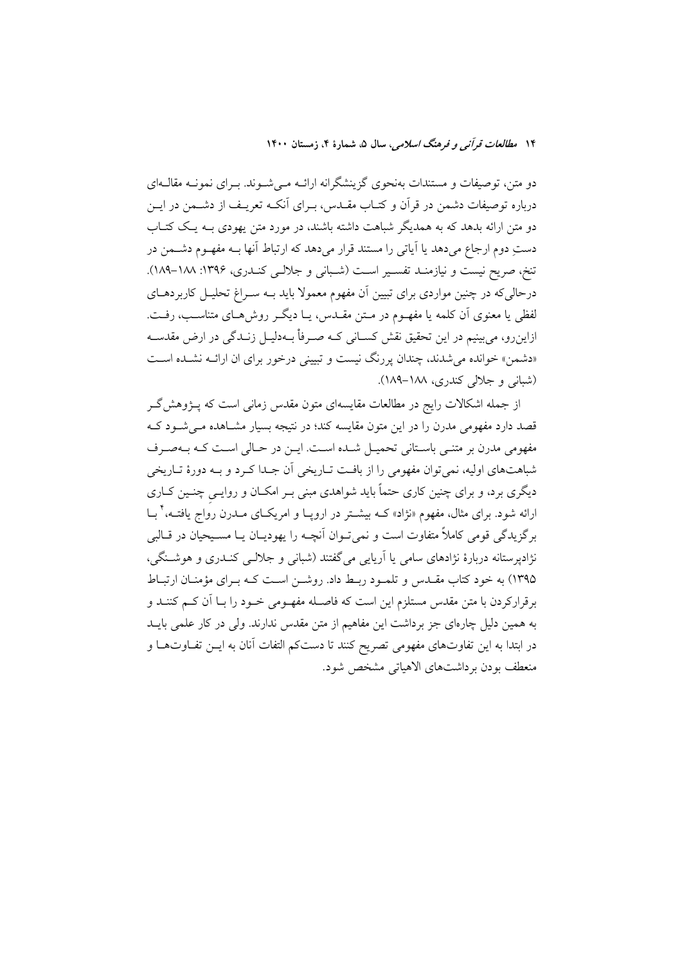دو متن، توصیفات و مستندات بهنحوی گزینشگرانه ارائـه مـیشـوند. بـرای نمونـه مقالـهای درباره توصیفات دشمن در قرآن و کتــاب مقــدس، بــرای آنکــه تعریــف از دشــمن در ایــن دو متن ارائه بدهد که به همدیگر شباهت داشته باشند، در مورد متن یهودی بـه یـک کتـاب دستِ دوم ارجاع میدهد یا آیاتی را مستند قرار میدهد که ارتباط آنها بـه مفهـوم دشــمن در تنخ، صريح نيست و نيازمنـد تفسـير اسـت (شـباني و جلالـي كنـدري، ١٣٩۶: ١٨٨-١٨٩). درحالی که در چنین مواردی برای تبیین آن مفهوم معمولا باید بـه سـراغ تحلیـل کاربردهـای لفظی یا معنوی آن کلمه یا مفهـوم در مـتن مقـدس، یـا دیگـر روش۵حای متناسـب، رفـت. ازاینرو، میبینیم در این تحقیق نقش کسـانی کـه صـرفأ بـهدلیـل زنـدگی در ارض مقدسـه «دشمن» خوانده میشدند، چندان پررنگ نیست و تبیینی درخور برای ان ارائــه نشــده اســت (شبانی و جلالی کندری، ۱۸۸–۱۸۹).

از جمله اشکالات رایج در مطالعات مقایسهای متون مقدس زمانی است که پـژوهش گـر قصد دارد مفهومی مدرن را در این متون مقایسه کند؛ در نتیجه بسیار مشـاهده مـیشـود کـه مفهومی مدرن بر متنبی باسـتانی تحمیـل شـده اسـت. ایـن در حـالی اسـت کـه بـهصـرف شباهتهای اولیه، نمی توان مفهومی را از بافت تـاریخی آن جـدا کـرد و بـه دورهٔ تـاریخی دیگری برد، و برای چنین کاری حتماً باید شواهدی مبنی بـر امکــان و روایــی چنــین کــاری ارائه شود. برای مثال، مفهوم «نژاد» کــه بیشــتر در اروپــا و امریکــای مــدرن رواج یافتــه، ٔ بــا برگزیدگی قومی کاملاً متفاوت است و نمی تـوان آنچـه را یهودیــان یــا مســیحیان در قــالبی نژادپرستانه دربارهٔ نژادهای سامی یا آریایی می گفتند (شبانی و جلالـی کنـدری و هوشـنگی، ۱۳۹۵) به خود کتاب مقـدس و تلمـود ربـط داد. روشـن اسـت کـه بـرای مؤمنـان ارتبـاط برقرارکردن با متن مقدس مستلزم این است که فاصـله مفهـومی خـود را بـا آن کـم کننــد و به همین دلیل چارهای جز برداشت این مفاهیم از متن مقدس ندارند. ولی در کار علمی بایــد در ابتدا به این تفاوتهای مفهومی تصریح کنند تا دستکم التفات آنان به ایــن تفــاوتهــا و منعطف بودن برداشتهای الاهیاتی مشخص شود.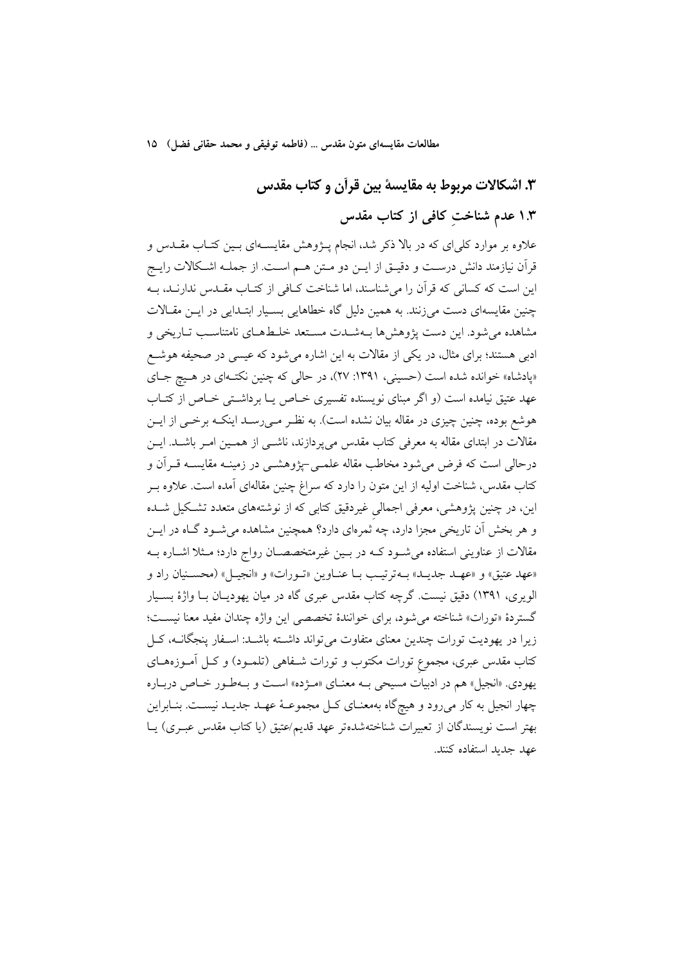# ۳. اشکالات مربوط به مقایسهٔ بین قرآن و کتاب مقدس

# ۱.۳ عدم شناخت کافی از کتاب مقدس

علاوه بر موارد کلی ای که در بالا ذکر شد، انجام پــژوهش مقایســهای بــین کتــاب مقــدس و قرآن نیازمند دانش درست و دقیـق از ایــن دو مـتن هــم اســت. از جملــه اشــكالات رایــج این است که کسانی که قرآن را می شناسند، اما شناخت کـافی از کتـاب مقـدس ندارنـد، بـه چنین مقایسهای دست می زنند. به همین دلیل گاه خطاهایی بسـیار ابتـدایی در ایــن مقـالات مشاهده مي شود. اين دست يژوهش ها بـهشـدت مسـتعد خلـطـهـاي نامتناسـب تـاريخي و ادبی هستند؛ برای مثال، در یکی از مقالات به این اشاره میشود که عیسی در صحیفه هوشع «پادشاه» خوانده شده است (حسینی، ۱۳۹۱: ۲۷)، در حالی که چنین نکتـهای در هـیچ جـای عهد عتیق نیامده است (و اگر مبنای نویسنده تفسیری خـاص یـا برداشـتی خـاص از کتـاب هوشع بوده، چنین چیزی در مقاله بیان نشده است). به نظـر مـی(سـد اینکـه برخــی از ایــن مقالات در ابتدای مقاله به معرفی کتاب مقدس میپردازند، ناشــی از همـین امـر باشــد. ایــن درحالی است که فرض میشود مخاطب مقاله علمـی=پژوهشـی در زمینـه مقایسـه قــراَن و کتاب مقدس، شناخت اولیه از این متون را دارد که سراغ چنین مقالهای آمده است. علاوه بــر این، در چنین پژوهشی، معرفی اجمالی غیردقیق کتابی که از نوشتههای متعدد تشکیل شـده و هر بخش آن تاریخی مجزا دارد، چه ثمرهای دارد؟ همچنین مشاهده میشـود گـاه در ایــن مقالات از عناوینی استفاده می شود کـه در بـین غیرمتخصصـان رواج دارد؛ مـثلا اشـاره بـه «عهد عتيق» و «عهـد جديـد» بـهترتيـب بـا عنـاوين «تـورات» و «انجيـل» (محسـنيان راد و الویری، ۱۳۹۱) دقیق نیست. گرچه کتاب مقدس عبری گاه در میان یهودیـان بـا واژهٔ بسـیار گستردهٔ «تورات» شناخته می شود، برای خوانندهٔ تخصصی این واژه چندان مفید معنا نیست؛ زیرا در یهودیت تورات چندین معنای متفاوت می تواند داشته باشـد: اسـفار پنجگانــه، کــل کتاب مقدس عبری، مجموع تورات مکتوب و تورات شــفاهی (تلمــود) و کــل آمــوزههــای یهودی. «انجیل» هم در ادبیات مسیحی بـه معنـای «مـژده» اسـت و بـهطـور خـاص دربـاره چهار انجیل به کار میرود و هیچگاه بهمعنـای کـل مجموعـهٔ عهـد جدیـد نیسـت. بنـابراین بهتر است نویسندگان از تعبیرات شناختهشدهتر عهد قدیم/عتیق (یا کتاب مقدس عبـری) یـا عهد جديد استفاده كنند.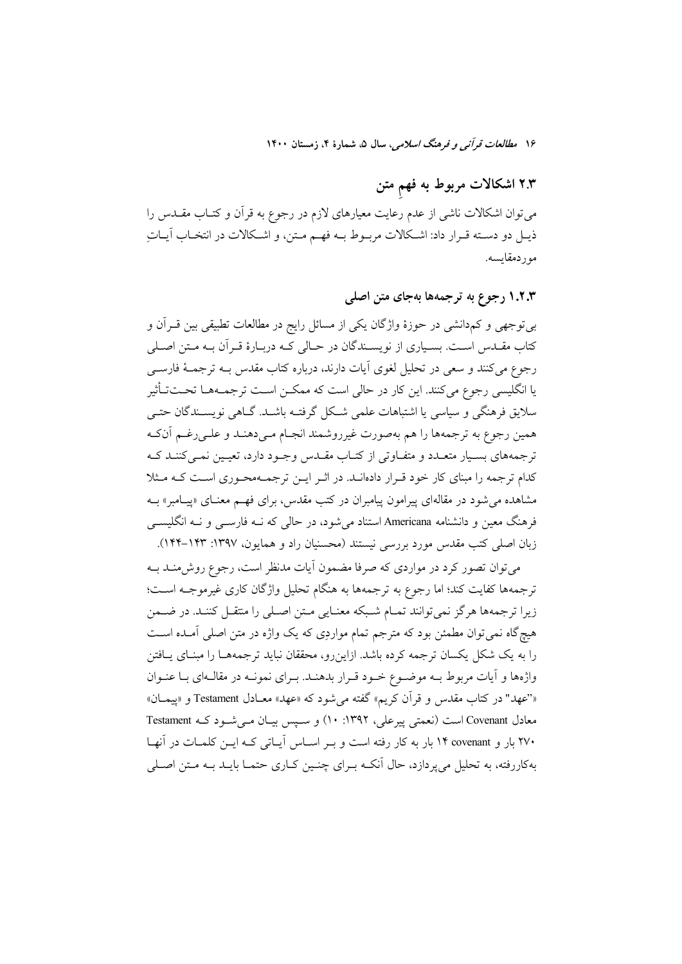۱۶ مطالعات قرآن<sub>می</sub> و فرهنگ *اسلامی*، سال ۵، شمارهٔ ۴، زمستان ۱۴۰۰

# ۲.۳ اشکالات مربوط به فهم متن

میتوان اشکالات ناشی از عدم رعایت معیارهای لازم در رجوع به قرآن و کتـاب مقــدس را ذيـل دو دسـته قـرار داد: اشـكالات مربـوط بــه فهــم مـتن، و اشـكالات در انتخـاب آيــات مور دمقايسه.

### ۱.۲.۳ رجوع به ترجمهها بهجای متن اصلی

بی توجهی و کمدانشی در حوزهٔ واژگان یکی از مسائل رایج در مطالعات تطبیقی بین قـرآن و کتاب مقــدس اســت. بسـياري از نويســندگان در حــالي کــه دربــارهٔ قــرآن بــه مــتن اصــلي رجوع مي كنند و سعى در تحليل لغوى أيات دارند، درباره كتاب مقدس بــه ترجمــهٔ فارســي یا انگلیسی رجوع میکنند. این کار در حالی است که ممکـن اسـت ترجمـههـا تحـتتأثیر سلایق فرهنگی و سیاسی یا اشتباهات علمی شکل گرفتـه باشــد. گــاهی نویســندگان حتــی همین رجوع به ترجمهها را هم بهصورت غیرروشمند انجـام مـی۵هنـد و علـی رغـم آنکـه ترجمههای بسـیار متعـدد و متفـاوتی از کتـاب مقـدس وجـود دارد، تعیـین نمـی کننـد کـه کدام ترجمه را مبنای کار خود قـرار دادهانـد. در اثـر ايـن ترجمـهمحـوري اسـت کـه مـثلا مشاهده می شود در مقالهای پیرامون پیامبران در کتب مقدس، برای فهم معنــای «پیــامبر» بــه فرهنگ معین و دانشنامه Americana استناد می شود، در حالی که نـه فارســی و نـه انگلیســی زبان اصلی کتب مقدس مورد بررسی نیستند (محسنیان راد و همایون، ۱۳۹۷: ۱۴۳–۱۴۴).

می توان تصور کرد در مواردی که صرفا مضمون آیات مدنظر است، رجوع روش،منـد بــه ترجمهها كفايت كند؛ اما رجوع به ترجمهها به هنگام تحليل واژگان كارى غيرموجــه اســت؛ زیرا ترجمهها هرگز نمی توانند تمـام شـبکه معنـایی مـتن اصـلی را منتقـل کننـد. در ضـمن هیچگاه نمی توان مطمئن بود که مترجم تمام مواردِی که یک واژه در متن اصلی آمـده اسـت را به یک شکل یکسان ترجمه کرده باشد. ازاینرو، محققان نباید ترجمههـا را مبنـای یـافتن واژهها و آیات مربوط بـه موضـوع خـود قـرار بدهنـد. بـرای نمونـه در مقالـهای بـا عنـوان «'عهد" در کتاب مقدس و قرآن کریم» گفته میشود که «عهد» معـادل Testament و «پیمـان» معادل Covenant است (نعمتی پیرعلی، ۱۳۹۲: ۱۰) و سپس بیان می شود کـه Testament ۲۷۰ بار و covenant ۱۴ بار به کار رفته است و بـر اسـاس آيـاتي کـه ايــن کلمـات در آنهـا بهکاررفته، به تحلیل میپردازد، حال آنکـه بـرای چنـین کـاری حتمـا بایـد بـه مـتن اصـلی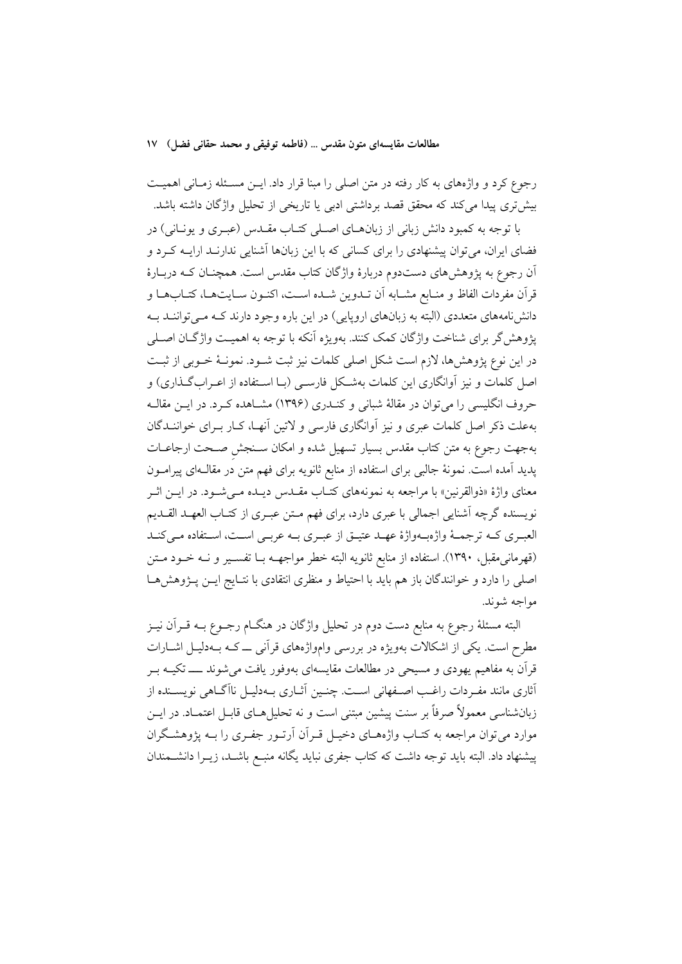رجوع کرد و واژههای به کار رفته در متن اصلی را مبنا قرار داد. ایــن مســئله زمــانی اهمیــت بیش تری پیدا می کند که محقق قصد برداشتی ادبی یا تاریخی از تحلیل واژگان داشته باشد.

با توجه به کمبود دانش زبانی از زبانهـای اصـلی کتـاب مقـدس (عبـری و یونـانی) در فضای ایران، می توان پیشنهادی را برای کسانی که با این زبانها اَشنایی ندارنـد ارایــه کـرد و آن رجوع به پژوهشهای دستدوم دربارهٔ واژگان کتاب مقدس است. همچنـان کـه دربـارهٔ قرآن مفردات الفاظ و منـابع مشـابه آن تــدوين شــده اســت، اكنــون ســايتهــا، كتــابِهــا و دانشنامههای متعددی (البته به زبانهای اروپایی) در این باره وجود دارند کـه مـی تواننـد بـه يژوهش گر براي شناخت واژگان كمک كنند. بهويژه اَنكه با توجه به اهميـت واژگــان اصــلي در این نوع پژوهشها، لازم است شکل اصلی کلمات نیز ثبت شـود. نمونـهٔ خـوبی از ثبـت اصل کلمات و نیز آوانگاری این کلمات بهشـکل فارسـی (بـا اسـتفاده از اعـرابگـذاری) و حروف انگلیسی را می توان در مقالهٔ شبانی و کنـدری (۱۳۹۶) مشـاهده کـرد. در ایــن مقالــه بهعلت ذکر اصل کلمات عبری و نیز آوانگاری فارسی و لاتین آنهـا، کـار بـرای خواننــدگان بهجهت رجوع به متن كتاب مقدس بسيار تسهيل شده و امكان سـنجش صـحت ارجاعـات پدید آمده است. نمونهٔ جالبی برای استفاده از منابع ثانویه برای فهم متن در مقالـهای پیرامــون معنای واژهٔ «ذوالقرنین» با مراجعه به نمونههای کتـاب مقــدس دیــده مــیشــود. در ایــن اثــر نویسنده گرچه اَشنایی اجمالی با عبری دارد، برای فهم مـتن عبـری از کتـاب العهـد القـدیم العبـري كــه ترجمــهٔ واژهبــهواژهٔ عهــد عتيــق از عبــري بــه عربــي اســت، اسـتفاده مــي كنــد (قهرمانی0قبل، ۱۳۹۰). استفاده از منابع ثانویه البته خطر مواجهــه بــا تفســیر و نــه خــود مــتن اصلی را دارد و خوانندگان باز هم باید با احتیاط و منظری انتقادی با نتـایج ایـن پـژوهشهـا مواجه شوند.

البته مسئلهٔ رجوع به منابع دست دوم در تحلیل واژگان در هنگــام رجــوع بــه قــراَن نيــز مطرح است. یکی از اشکالات بهویژه در بررسی وامواژههای قرآنی ـــ کــه بــهدلیــل اشــارات قرآن به مفاهیم یهودی و مسیحی در مطالعات مقایسهای بهوفور یافت می شوند ــــــ تکیــه بــر أثاري مانند مفـردات راغـب اصـفهاني اسـت. چنـين آثــاري بــهدليــل ناآگــاهي نويســنده از زبانشناسی معمولاً صرفاً بر سنت پیشین مبتنی است و نه تحلیل هـای قابـل اعتمـاد. در ایــن موارد می توان مراجعه به کتـاب واژههـای دخیـل قـرآن آرتـور جفـری را بــه یژوهشـگران پیشنهاد داد. البته باید توجه داشت که کتاب جفری نباید یگانه منبع باشـد، زیــرا دانشــمندان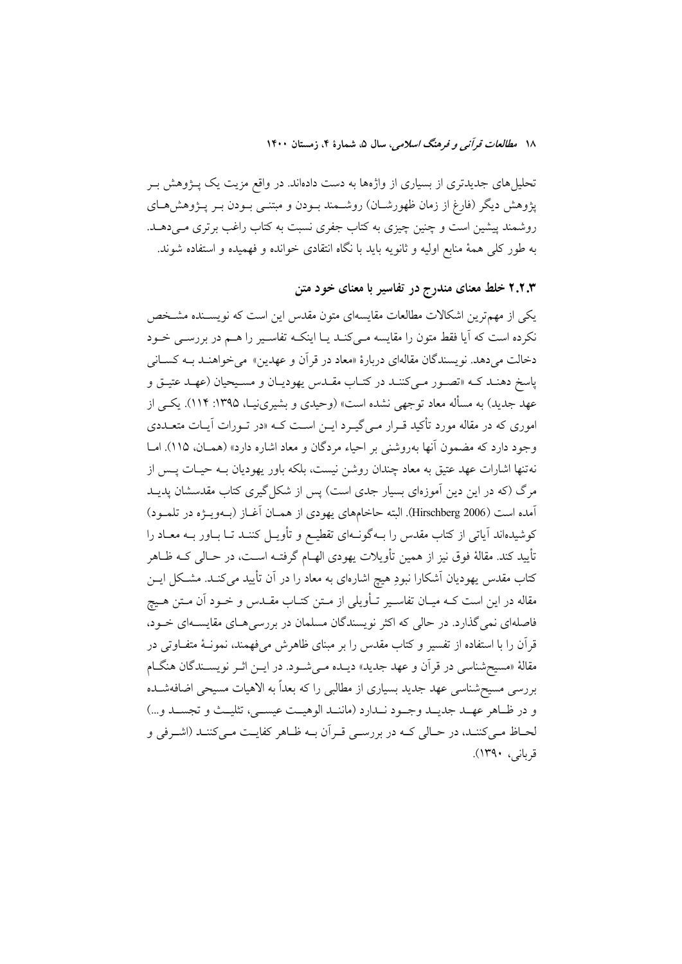تحلیلهای جدیدتری از بسیاری از واژهها به دست دادهاند. در واقع مزیت یک پــژوهش بــر پژوهش دیگر (فارغ از زمان ظهورشــان) روشــمند بــودن و مبتنــی بــودن بــر پــژوهش۵حـای روشمند پیشین است و چنین چیزی به کتاب جفری نسبت به کتاب راغب برتری مـیدهــد. به طور کلَّى همهٔ منابع اولیه و ثانویه باید با نگاه انتقادى خوانده و فهمیده و استفاده شوند.

۲.۲.۳ خلط معنای مندرج در تفاسیر با معنای خود متن

یکی از مهمترین اشکالات مطالعات مقایسهای متون مقدس این است که نویســنده مشـخص نکرده است که آیا فقط متون را مقایسه مـیکنـد یـا اینکـه تفاسـیر را هــم در بررسـی خــود دخالت مي دهد. نويسندگان مقالهاي دربارهٔ «معاد در قرآن و عهدين» مي خواهنـد بـه كسـاني ياسخ دهنـد کـه «تصـور مـي کننـد در کتـاب مقـدس يهوديـان و مسـيحيان (عهـد عتيـق و عهد جدید) به مسأله معاد توجهی نشده است» (وحیدی و بشیرینیـا، ۱۳۹۵: ۱۱۴). یکـی از اموری که در مقاله مورد تأکید قـرار مـیEگیـرد ایـن اسـت کـه «در تـورات آیـات متعـددی وجود دارد که مضمون آنها بهروشنی بر احیاء مردگان و معاد اشاره دارد» (همـان، ۱۱۵). امـا نهتنها اشارات عهد عتیق به معاد چندان روشن نیست، بلکه باور یهودیان بــه حیــات پــس از مرگ (که در این دین آموزهای بسیار جدی است) پس از شکل گیری کتاب مقدسشان پدیــد آمده است (Hirschberg 2006). البته حاخامهای یهودی از همـان آغـاز (بــهویــژه در تلمــود) کوشیدهاند آیاتی از کتاب مقدس را بــهگونــهای تقطیــع و تأویــل کننــد تــا بــاور بــه معــاد را تأييد كند. مقالهٔ فوق نيز از همين تأويلات يهودي الهــام گرفتــه اســت، در حــالي كــه ظــاهر کتاب مقدس یهودیان آشکارا نبودِ هیچ اشارهای به معاد را در آن تأیید میکنـد. مشـکل ایــن مقاله در این است کــه میــان تفاســیر تــأویلی از مــتن کتــاب مقــدس و خــود آن مــتن هــیچ فاصلهای نمی گذارد. در حالی که اکثر نویسندگان مسلمان در بررسی هـای مقایســهای خــود، قرآن را با استفاده از تفسیر و کتاب مقدس را بر مبنای ظاهرش میفهمند، نمونـهٔ متفـاوتی در مقالهٔ «مسیحشناسی در قرآن و عهد جدید» دیــده مــیشــود. در ایــن اثــر نویســندگان هنگــام بررسی مسیح شناسی عهد جدید بسیاری از مطالبی را که بعداً به الاهیات مسیحی اضافهشـده و در ظـاهر عهــد جديــد وجــود نــدارد (ماننــد الوهيــت عيســي، تثليــث و تجســد و...) لحــاظ مــي كننــد، در حــالي كــه در بررســي قــراَن بــه ظــاهر كفايــت مــي كننــد (اشــرفي و قربانی، ۱۳۹۰).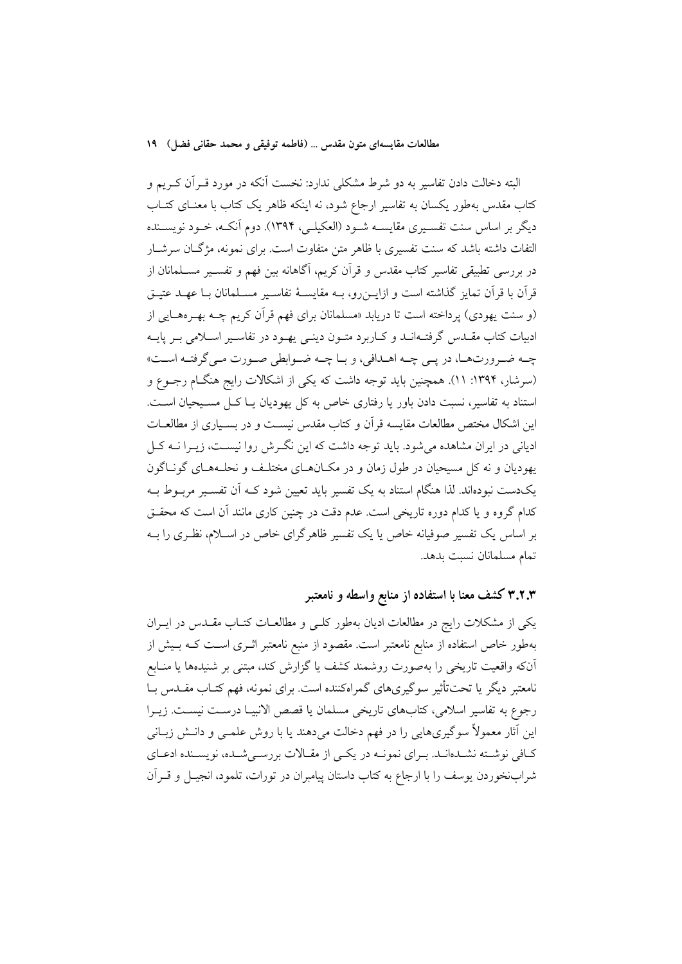البته دخالت دادن تفاسیر به دو شرط مشکلی ندارد: نخست آنکه در مورد قـرآن کـریم و کتاب مقدس بهطور یکسان به تفاسیر ارجاع شود، نه اینکه ظاهر یک کتاب با معنـای کتـاب دیگر بر اساس سنت تفسـیری مقایســه شـود (العکیلــی، ۱۳۹۴). دوم آنکــه، خــود نویســنده التفات داشته باشد که سنت تفسیری با ظاهر متن متفاوت است. برای نمونه، مژگـان سرشـار در بررسی تطبیقی تفاسیر کتاب مقدس و قرآن کریم، آگاهانه بین فهم و تفسـیر مســلمانان از قرآن با قرآن تمایز گذاشته است و ازایــن٫رو، بــه مقایســهٔ تفاســیر مســلمانان بــا عهــد عتیــق (و سنت یهودی) پرداخته است تا دریابد «مسلمانان برای فهم قرآن کریم چــه بهـرههـایی از ادبیات کتاب مقــدس گرفتــهانــد و کــاربرد متــون دینــی یهــود در تفاســیر اســلامی بــر پایــه چـه ضـرورتهـا، در پـي چـه اهـدافي، و بـا چـه ضـوابطي صـورت مـي گرفتـه اسـت» (سرشار، ۱۳۹۴: ۱۱). همچنین باید توجه داشت که یکی از اشکالات رایج هنگJم رجـوع و استناد به تفاسیر، نسبت دادن باور یا رفتاری خاص به کل یهودیان یــا کــل مســیحیان اســت. این اشکال مختص مطالعات مقایسه قرآن و کتاب مقدس نیست و در بسیباری از مطالعیات ادیانی در ایران مشاهده می شود. باید توجه داشت که این نگیرش روا نیست، زیبرا نبه کیل یهودیان و نه کل مسیحیان در طول زمان و در مکـانهـای مختلـف و نحلـههـای گونـاگون یکدست نبودهاند. لذا هنگام استناد به یک تفسیر باید تعیین شود کـه اَن تفسـیر مربـوط بـه کدام گروه و یا کدام دوره تاریخی است. عدم دقت در چنین کاری مانند آن است که محقــق بر اساس یک تفسیر صوفیانه خاص یا یک تفسیر ظاهرگرای خاص در اسـلام، نظـری را بــه تمام مسلمانان نسبت بدهد.

# ۳.۲.۳ کشف معنا با استفاده از منابع واسطه و نامعتبر

یکی از مشکلات رایج در مطالعات ادیان بهطور کلـی و مطالعـات کتـاب مقـدس در ایــران بهطور خاص استفاده از منابع نامعتبر است. مقصود از منبع نامعتبر اثــرى اســت كــه بــيش از آنکه واقعیت تاریخی را بهصورت روشمند کشف یا گزارش کند، مبتنی بر شنیدهها یا منــابع نامعتبر دیگر یا تحتتأثیر سوگیریهای گمراهکننده است. برای نمونه، فهم کتـاب مقــدس بــا رجوع به تفاسير اسلامي، كتابهاي تاريخي مسلمان يا قصص الانبيـا درسـت نيسـت. زيـرا این آثار معمولاً سوگیریهایی را در فهم دخالت میدهند یا با روش علمـی و دانـش زبــانی کافی نوشته نشـدهانـد. بـرای نمونـه در یکـی از مقـالات بررسـیشـده، نویسـنده ادعـای شرابنخوردن یوسف را با ارجاع به کتاب داستان پیامبران در تورات، تلمود، انجیــل و قــراَن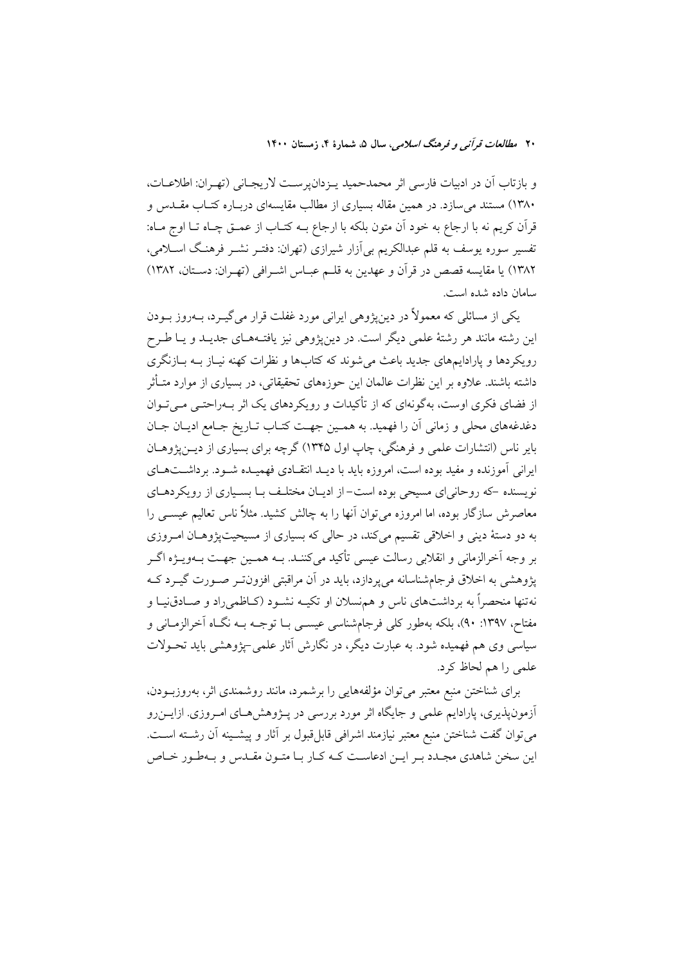و بازتاب أن در ادبيات فارسي اثر محمدحميد يـزدانپرسـت لاريجـاني (تهـران: اطلاعـات، ۱۳۸۰) مستند می سازد. در همین مقاله بسیاری از مطالب مقایسهای دربـاره کتـاب مقــدس و قرآن كريم نه با ارجاع به خود آن متون بلكه با ارجاع بــه كتــاب از عمــق چــاه تــا اوج مــاه: تفسیر سوره یوسف به قلم عبدالکریم بی آزار شیرازی (تهران: دفتـر نشـر فرهنـگ اســلامی، ١٣٨٢) يا مقايسه قصص در قرآن و عهدين به قلـم عبـاس اشـرافي (تهـران: دسـتان، ١٣٨٢) سامان داده شده است.

یکی از مسائلی که معمولاً در دین،ژوهی ایرانی مورد غفلت قرار می گیـرد، بــهروز بــودن این رشته مانند هر رشتهٔ علمی دیگر است. در دینپژوهی نیز یافتـههـای جدیـد و یـا طـرح رویکردها و یارادایمهای جدید باعث می شوند که کتابها و نظرات کهنه نیـاز بــه بــازنگری داشته باشند. علاوه بر این نظرات عالمان این حوزههای تحقیقاتی، در بسیاری از موارد متــأثر از فضای فکری اوست، بهگونهای که از تأکیدات و رویکردهای یک اثر بـهراحتـی مـی تـوان دغدغههاي محلي و زماني آن را فهميد. به همـين جهـت كتـاب تــاريخ جــامع اديــان جــان بایر ناس (انتشارات علمی و فرهنگی، چاپ اول ۱۳۴۵) گرچه برای بسیاری از دیــن(پژوهــان ایرانی آموزنده و مفید بوده است، امروزه باید با دیـد انتقـادی فهمیـده شـود. برداشـتهـای نویسنده -که روحانی ای مسیحی بوده است- از ادیـان مختلـف بـا بسـیاری از رویکردهـای معاصرش سازگار بوده، اما امروزه می توان آنها را به چالش کشید. مثلاً ناس تعالیم عیســی را به دو دستهٔ دینی و اخلاقی تقسیم می کند، در حالی که بسیاری از مسیحیتیژوهـان امـروزی بر وجه اَخرالزماني و انقلابي رسالت عيسى تأكيد ميكننـد. بــه همــين جهـت بــهويــژه اگــر یژوهشی به اخلاق فرجامشناسانه می پردازد، باید در آن مراقبتی افزون تـر صـورت گیــرد کــه نهتنها منحصراً به برداشتهای ناس و هم نسلان او تکیــه نشــود (کــاظمیراد و صــادق $\omega$ یــا و مفتاح، ۱۳۹۷: ۹۰)، بلکه بهطور کلّی فرجامشناسی عیســی بــا توجــه بــه نگــاه آخرالزمــانی و سیاسی وی هم فهمیده شود. به عبارت دیگر، در نگارش آثار علمی–پژوهشی باید تحـولات علمی را هم لحاظ کرد.

برای شناختن منبع معتبر میتوان مؤلفههایی را برشمرد، مانند روشمندی اثر، بهروزبودن، آزمونپذیری، پارادایم علمی و جایگاه اثر مورد بررسی در پـژوهشهـای امـروزی. ازایــنرو مي توان گفت شناختن منبع معتبر نيازمند اشرافي قابل قبول بر آثار و پيشـينه آن رشــته اســت. این سخن شاهدی مجـدد بـر ایــن ادعاســت کــه کــار بــا متــون مقــدس و بــهطــور خــاص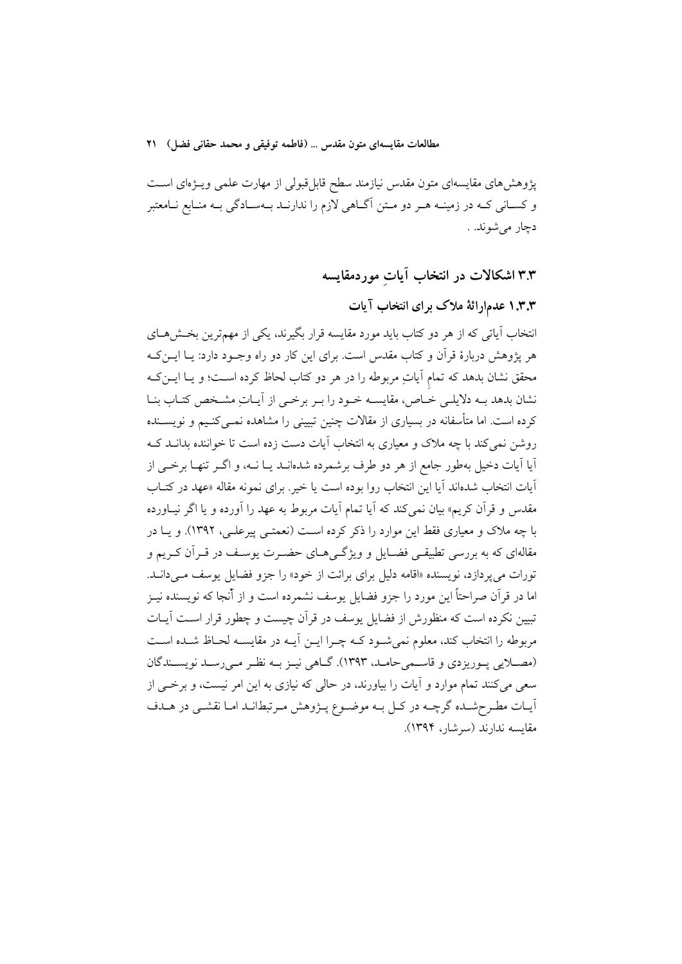پژوهش های مقایسهای متون مقدس نیازمند سطح قابل قبولی از مهارت علمی ویـژهای اسـت و کسـاني کـه در زمينـه هـر دو مـتن آگـاهي لازم را ندارنـد بـهسـادگي بـه منـابع نـامعتبر دچار مي شوند. .

۳.۳ اشکالات در انتخاب آیات موردمقایسه

۰.۳.۳ عدمارائهٔ ملاک برای انتخاب آیات

انتخاب آیاتی که از هر دو کتاب باید مورد مقایسه قرار بگیرند، یکی از مهمترین بخش هـای هر پژوهش دربارهٔ قرآن و کتاب مقدس است. برای این کار دو راه وجـود دارد: یــا ایــن کــه محقق نشان بدهد که تمام آیاتِ مربوطه را در هر دو کتاب لحاظ کرده اسـت؛ و یــا ایــن کــه نشان بدهد بــه دلایلــی خــاص، مقایســه خــود را بــر برخــی از آیــاتِ مشــخص کتــاب بنــا کرده است. اما متأسفانه در بسیاری از مقالات چنین تبیینی را مشاهده نمـبی کنـیـم و نویســنده روشن نمی کند با چه ملاک و معیاری به انتخاب آیات دست زده است تا خواننده بدانــد کــه اّیا اّیات دخیل بهطور جامع از هر دو طرف برشمرده شدهانــد یــا نــه، و اگــر تنهــا برخــی از آيات انتخاب شدهاند آيا اين انتخاب روا بوده است يا خير. براى نمونه مقاله «عهد در كتـاب مقدس و قرآن کریم» بیان نمیکند که آیا تمام آیات مربوط به عهد را آورده و یا اگر نیـاورده با چه ملاک و معیاری فقط این موارد را ذکر کرده است (نعمتـبی پیرعلـبی، ۱۳۹۲). و یــا در مقالهای که به بررسی تطبیقـی فضــایل و ویژگــیهــای حضــرت پوســف در قــراَن کــریم و تورات می پردازد، نویسنده «اقامه دلیل برای برائت از خود» را جزو فضایل یوسف مـیدانــد. اما در قرآن صراحتاً این مورد را جزو فضایل یوسف نشمرده است و از أنجا که نویسنده نیـز تبیین نکرده است که منظورش از فضایل یوسف در قرآن چیست و چطور قرار اسـت آیـات مربوطه را انتخاب كند، معلوم نمي شـود كـه چـرا ايــن أيــه در مقايســه لحــاظ شــده اسـت (مصلایی پوریزدی و قاسمیحامله، ۱۳۹۳). گـاهی نیـز بـه نظـر مـیرسـد نویسـندگان سعی می کنند تمام موارد و آیات را بیاورند، در حالی که نیازی به این امر نیست، و برخبی از أيـات مطـرحشـده گرچـه در كـل بـه موضـوع يــژوهش مـرتبطانـد امـا نقشـي در هــدف مقايسه ندارند (سرشار، ۱۳۹۴).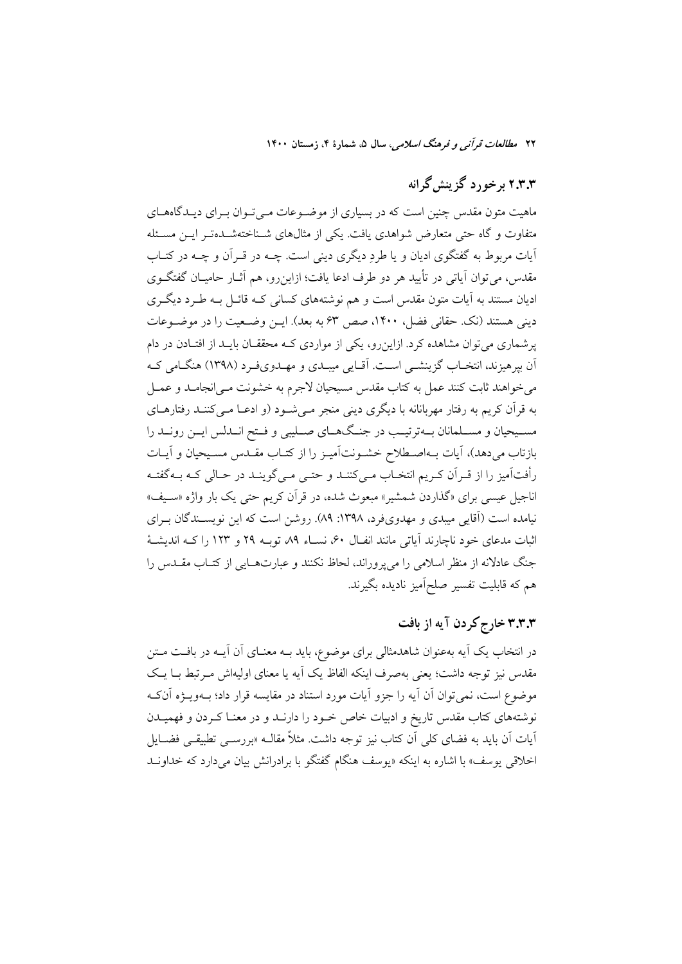# ۲.۳.۳ برخورد گزینش گرانه

ماهیت متون مقدس چنین است که در بسیاری از موضـوعات مـی تـوان بـرای دیـدگاههـای متفاوت و گاه حتی متعارض شواهدی یافت. یکی از مثالهای شـناختهشـدهتـر ایــن مسـئله آیات مربوط به گفتگوی ادیان و یا طردِ دیگری دینی است. چــه در قــراَن و چــه در کتــاب مقدس، می توان آیاتی در تأیید هر دو طرف ادعا یافت؛ ازاین٫و، هم آثــار حامیــان گفتگــوی ادیان مستند به آیات متون مقدس است و هم نوشتههای کسانی کـه قائــل بـه طــرد دیگــری دینی هستند (نک حقانی فضل، ۱۴۰۰، صص ۶۳ به بعد). ایـن وضـعیت را در موضـوعات یر شماری می توان مشاهده کرد. ازاین رو، یکی از مواردی کـه محققــان بایــد از افتــادن در دام آن بپرهیزند، انتخـاب گزینشــی اسـت. آقـایی میبــدی و مهــدویفـرد (۱۳۹۸) هنگــامی کــه می خواهند ثابت کنند عمل به کتاب مقدس مسیحیان لاجرم به خشونت مـی|نجامـد و عمــل به قرآن کریم به رفتار مهربانانه با دیگری دینی منجر مـی شـود (و ادعـا مـی کننــد رفتارهــای مسـيحيان و مسـلمانان بــهترتيــب در جنـگـهــاي صــليبي و فــتح انــدلس ايــن رونــد را بازتاب میدهد)، آیات بـهاصـطلاح خشـونتآمیـز را از کتـاب مقـدس مسـیحیان و آیـات رأفت آمیز را از قـراَن کـریم انتخـاب مـیکننـد و حتـی مـیگوینـد در حـالی کـه بـهگفتـه اناجیل عیسی برای «گذاردن شمشیر» مبعوث شده، در قرآن کریم حتی یک بار واژه «سـیف» نیامده است (آقایی میبدی و مهدویفرد، ۱۳۹۸: ۸۹). روشن است که این نویســندگان بــرای اثبات مدعای خود ناچارند آیاتی مانند انفـال ۶۰، نسـاء ۸۹ توبـه ۲۹ و ۱۲۳ را کـه اندیشـهٔ جنگ عادلانه از منظر اسلامی را میپروراند، لحاظ نکنند و عبارتهـایی از کتـاب مقـدس را هم که قابلیت تفسیر صلحآمیز نادیده بگیرند.

## ۳.۳.۳ خارج کردن آیه از بافت

در انتخاب یک آیه بهعنوان شاهدمثالی برای موضوع، باید بــه معنــای آن آیــه در بافــت مــتن مقدس نیز توجه داشت؛ یعنی بهصرف اینکه الفاظ یک آیه یا معنای اولیهاش مـرتبط بـا یـک موضوع است، نمي توان أن أيه را جزو أيات مورد استناد در مقايسه قرار داد؛ بــهويـــژه أنكــه نوشتههای کتاب مقدس تاریخ و ادبیات خاص خـود را دارنــد و در معنــا کــردن و فهمیــدن آیات اَن باید به فضای کل<sub>ی</sub> اَن کتاب نیز توجه داشت. مثلاً مقالــه «بررســی تطبیقــی فضــایل اخلاقی یوسف» با اشاره به اینکه «یوسف هنگام گفتگو با برادرانش بیان میدارد که خداونـد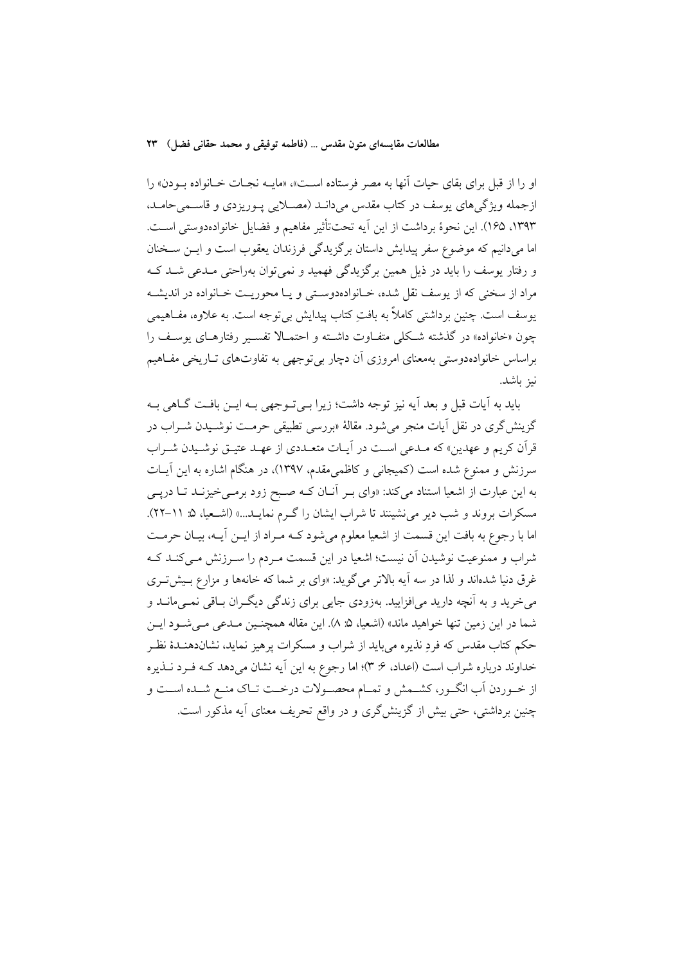او را از قبل براي بقاي حيات آنها به مصر فرستاده اسـت»، «مايــه نجـات خـانواده بــودن» را ازجمله ويژگي هاي يوسف در كتاب مقدس مي دانـد (مصـلايي پـوريزدي و قاسـمي حامـد، ١٣٩٣، ١٦٥). اين نحوهٔ برداشت از اين آيه تحتتأثير مفاهيم و فضايل خانوادهدوستي است. اما میدانیم که موضوع سفر پیدایش داستان برگزیدگی فرزندان یعقوب است و ایــن ســخنان و رفتار یوسف را باید در ذیل همین برگزیدگی فهمید و نمیتوان بهراحتی مـدعی شـد کـه مراد از سخنی که از پوسف نقل شده، خـانوادهدوسـتی و یـا محوریـت خـانواده در اندیشـه يوسف است. چنين برداشتي كاملاً به بافتِ كتاب پيدايش بي¤وجه است. به علاوه، مفـاهيمي چون «خانواده» در گذشته شکلی متفاوت داشته و احتمـالا تفسـير رفتارهـای يوسـف را براساس خانوادهدوستی بهمعنای امروزی آن دچار بیتوجهی به تفاوتهای تـاریخی مفـاهیم نبز باشد.

بايد به آيات قبل و بعد آيه نيز توجه داشت؛ زيرا بـي تـوجهي بـه ايـن بافـت گــاهي بـه گزينش گري در نقل آيات منجر مي شود. مقالهٔ «بررسي تطبيقي حرمـت نوشـيدن شـراب در قرآن كريم و عهدين» كه مـدعى اسـت در أيـات متعـددي از عهـد عتيـق نوشـيدن شـراب سرزنش و ممنوع شده است (کمیجانی و کاظمی مقدم، ۱۳۹۷)، در هنگام اشاره به این آیـات به این عبارت از اشعیا استناد میکند: «وای بـر آنـان کـه صـبح زود برمـیخیزنـد تـا درپـی مسکرات بروند و شب دیر می نشینند تا شراب ایشان را گـرم نمایـد...» (اشـعیا، ۵: ۱۱-۲۲). اما با رجوع به بافت این قسمت از اشعیا معلوم می شود کـه مـراد از ایــن آیــه، بیــان حرمــت شراب و ممنوعیت نوشیدن آن نیست؛ اشعیا در این قسمت مـردم را سـرزنش مـیکنـد کـه غرق دنیا شدهاند و لذا در سه آیه بالاتر می گوید: «وای بر شما که خانهها و مزارع بـیش تـری می خرید و به آنچه دارید می|فزایید. بهزودی جایی برای زندگی دیگـران بـاقی نمـیمانــد و شما در اين زمين تنها خواهيد ماند» (اشعيا، ۵: ۸). اين مقاله همچنـين مـدعى مـيشـود ايـن حکم کتاب مقدس که فردِ نذیره می باید از شراب و مسکرات پرهیز نماید، نشاندهنـدهٔ نظـر خداوند درباره شراب است (اعداد، ۶: ۳)؛ اما رجوع به این آیه نشان میدهد کـه فـرد نـذیره از خـوردن أب انگـور، كشـمش و تمـام محصـولات درخـت تـاك منـع شـده اسـت و چنین برداشتی، حتی بیش از گزینش گری و در واقع تحریف معنای آیه مذکور است.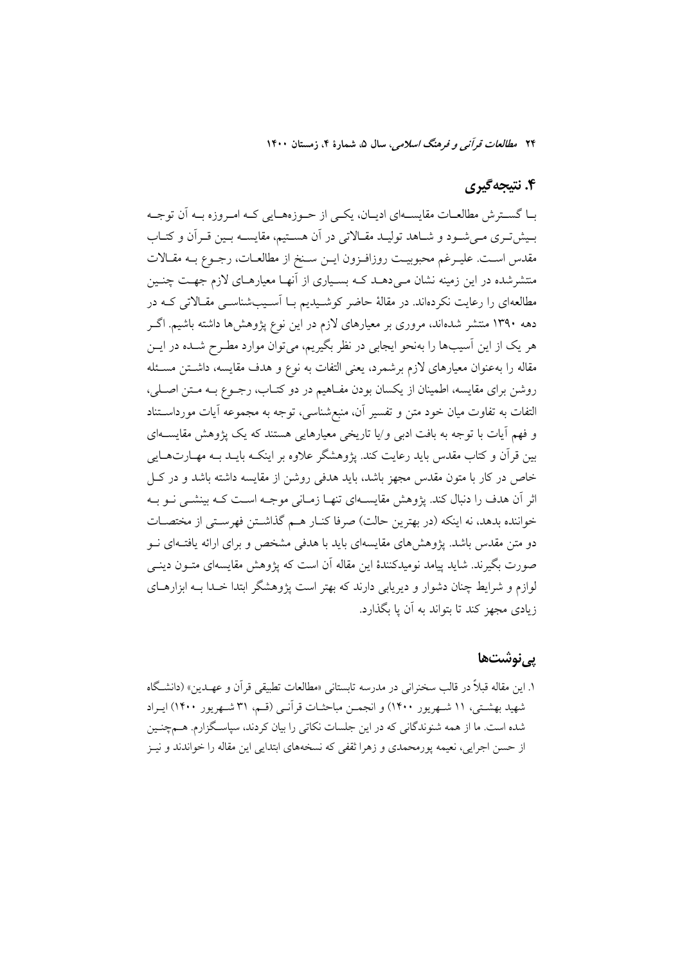۲۴ م*طالعات قرآن<sub>ه،</sub> و فرهنگ اسلامی*، سال ۵، شمارهٔ ۴، زمستان ۱۴۰۰

## ۴. نتيجه گيري

بــا گســترش مطالعــات مقايســـهاي اديــان، يكــي از حــوزههــايي كــه امــروزه بــه آن توجــه بمیشتری میشود و شاهد تولید مقالاتی در آن هستیم، مقایسه بمین قرآن و کتـاب مقدس است. عليـرغم محبوبيـت روزافـزون ايـن سـنخ از مطالعـات، رجـوع بـه مقـالات منتشرشده در این زمینه نشان مـی دهــد کــه بســیاری از آنهــا معیارهــای لازم جهــت چنــین مطالعهای را رعایت نکردهاند. در مقالهٔ حاضر کوشـیدیم بـا آسـیبشناسـی مقـالاتی کـه در دهه ۱۳۹۰ منتشر شدهاند، مروری بر معیارهای لازم در این نوع پژوهشها داشته باشیم. اگـر هر یک از این آسیبها را بهنحو ایجابی در نظر بگیریم، میتوان موارد مطـرح شــده در ایــن مقاله را بهعنوان معیارهای لازم برشمرد، یعنی التفات به نوع و هدف مقایسه، داشتن مسئله روشن برای مقایسه، اطمینان از یکسان بودن مفـاهیم در دو کتـاب، رجــوع بــه مــتن اصــلی، التفات به تفاوت میان خود متن و تفسیر آن، منبع شناسی، توجه به مجموعه آیات مورداسـتناد و فهم آیات با توجه به بافت ادبی و⁄یا تاریخی معیارهایی هستند که یک پژوهش مقایســهای بین قرأن و کتاب مقدس باید رعایت کند. پژوهشگر علاوه بر اینکـه بایــد بــه مهــارتـهــایی خاص در کار با متون مقدس مجهز باشد، باید هدفی روشن از مقایسه داشته باشد و در ک اثر آن هدف را دنبال کند. پژوهش مقایسـهای تنهـا زمـانی موجـه اسـت کـه بینشــی نــو بــه خواننده بدهد، نه اینکه (در بهترین حالت) صرفا کنـار هـم گذاشـتن فهرسـتی از مختصـات دو متن مقدس باشد. یژوهشهای مقایسهای باید با هدفی مشخص و برای ارائه یافتـهای نــو صورت بگیرند. شاید پیامد نومیدکنندهٔ این مقاله آن است که پژوهش مقایسهای متــون دینــی لوازم و شرایط چنان دشوار و دیریابی دارند که بهتر است پژوهشگر ابتدا خـدا بــه ابزارهــای زيادي مجهز کند تا پتواند به آن با بگذارد.

## <u>بے نوشتھا</u>

۱. این مقاله قبلاً در قالب سخنرانی در مدرسه تابستانی «مطالعات تطبیقی قرآن و عهــدین» (دانشـگاه شهید بهشتی، ۱۱ شبهریور ۱۴۰۰) و انجمـن مباحثـات قرآنـی (قسم، ۳۱ شبهریور ۱۴۰۰) ایبراد شده است. ما از همه شنوندگانی که در این جلسات نکاتی را بیان کردند، سپاسـگزارم. هــمچنــین از حسن اجرایی، نعیمه پورمحمدی و زهرا ثقفی که نسخههای ابتدایی این مقاله را خواندند و نیـز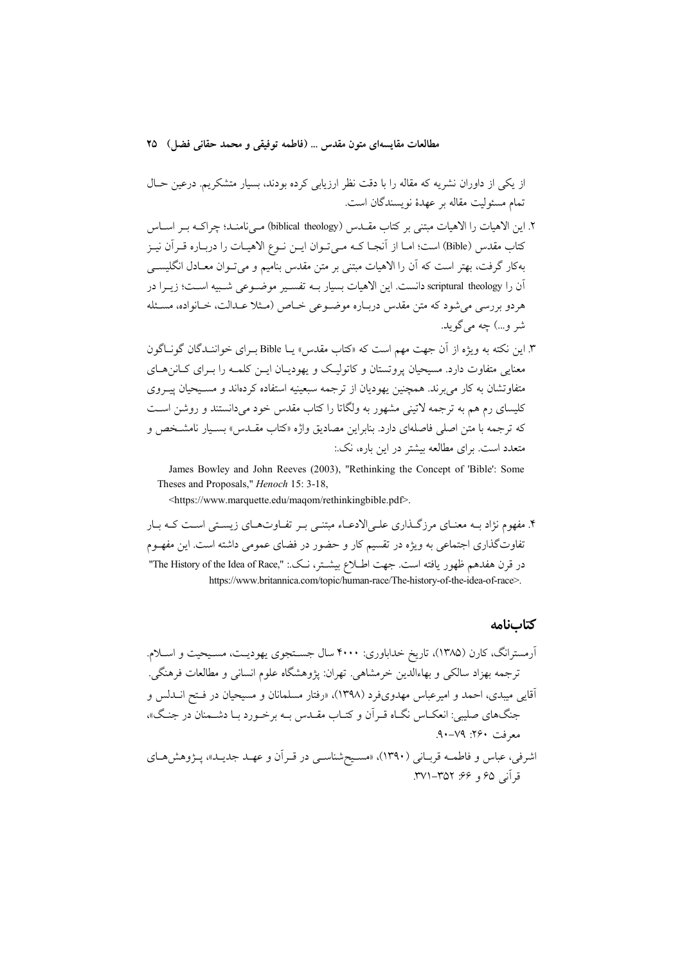از یکی از داوران نشریه که مقاله را با دقت نظر ارزیابی کرده بودند، بسیار متشکریم. درعین حـال تمام مسئوليت مقاله بر عهدهٔ نويسندگان است.

- ۲. این الاهیات را الاهیات مبتنی بر کتاب مقــدس (biblical theology) مــ نامنــد؛ چراکــه بــر اســاس كتاب مقدس (Bible) است؛ امـا از آنجـا كـه مـى تـوان ايـن نـوع الاهيـات را دربـاره قـراَن نيـز بهكار گرفت، بهتر است كه آن را الاهيات مبتنى بر متن مقدس بناميم و مى تـوان معـادل انگليســى آن را scriptural theology دانست. این الاهیات بسیار بــه تفسـیر موضــوعی شــییه اســت؛ زیــرا در هردو بررسی می شود که متن مقدس دربـاره موضـوعی خـاص (مـثلا عـدالت، خـانواده، مسـئله شر و…) چه میگوید.
- ۳. این نکته به ویژه از آن جهت مهم است که «کتاب مقدس» یـا Bible بـرای خواننـدگان گونـاگون معنایی متفاوت دارد. مسیحیان پروتستان و کاتولیک و یهودیـان ایــن کلمــه را بــرای کــانن۵ــای متفاوتشان به کار می برند. همچنین یهودیان از ترجمه سبعینیه استفاده کردهاند و مسـیحیان پیــروی کلیسای رم هم به ترجمه لاتینی مشهور به ولگاتا را کتاب مقدس خود می دانستند و روشن است که ترجمه با متن اصلی فاصلهای دارد. بنابراین مصادیق واژه «کتاب مقــدس» بسـيار نامشـخص و متعدد است. برای مطالعه بیشتر در این باره، نک.:

James Bowley and John Reeves (2003), "Rethinking the Concept of 'Bible': Some Theses and Proposals," *Henoch* 15: 3-18,

<https://www.marquette.edu/maqom/rethinkingbible.pdf>.

۴. مفهوم نژاد بــه معنــاي مرزگــذاري علــيالادعــاء مبتنــي بــر تفــاوتـهــاي زيســتي اســت كــه بــار تفاوتگذاری اجتماعی به ویژه در تقسیم کار و حضور در فضای عمومی داشته است. این مفهـوم در قرن هفدهم ظهور يافته است. جهت اطـلاع بيشــتر، نــك.: "The History of the Idea of Race," https://www.britannica.com/topic/human-race/The-history-of-the-idea-of-race>.

#### كتابنامه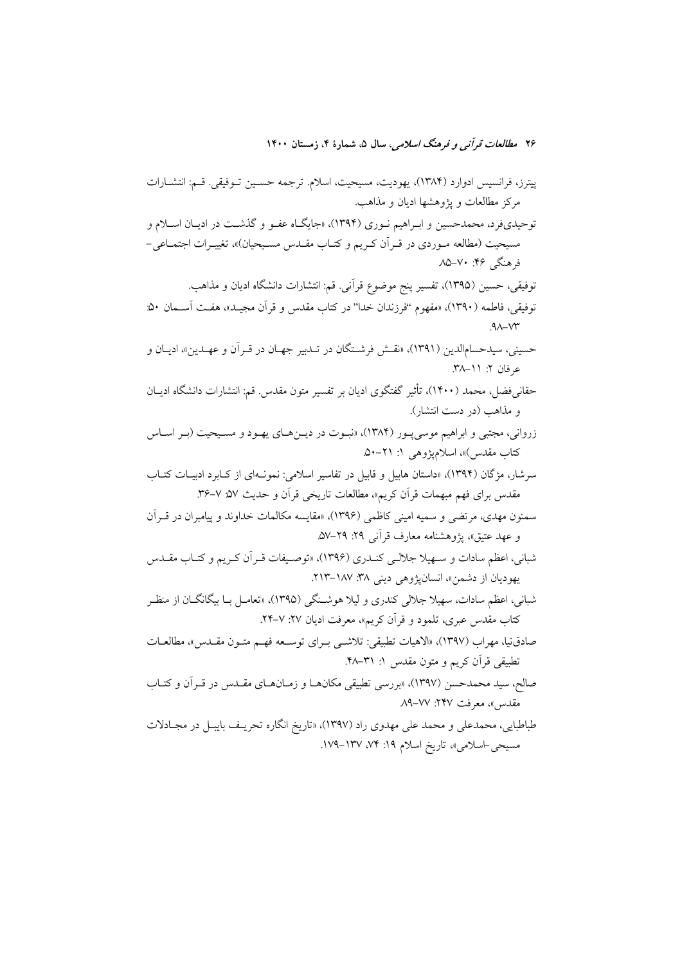پیترز، فرانسیس ادوارد (۱۳۸۴)، یهودیت، مسیحیت، اسلام. ترجمه حسـین تـوفیقی. قـم: انتشـارات مرکز مطالعات و پژوهشها ادیان و مذاهب. توحیدیفرد، محمدحسین و ابـراهیم نـوری (۱۳۹۴)، «جایگـاه عفـو و گذشـت در ادیـان اسـلام و مسیحیت (مطالعه مـوردی در قـراّن کـریم و کتـاب مقـدس مسـیحیان)»، تغییـرات اجتمـاعی-فرهنگی ۲۶: ۷۰–۸۵ توفيقي، حسين (١٣٩۵)، تفسير پنج موضوع قرآني. قم: انتشارات دانشگاه اديان و مذاهب. توفيقي، فاطمه (١٣٩٠)، «مفهوم "فرزندان خدا" در كتاب مقدس و قرآن مجيــد»، هفــت آســمان ٥٠:  $AX-YY$ حسيني، سيدحسامالدين (١٣٩١)، «نقــش فرشــتگان در تــدبير جهــان در قــراَن و عهــدين»، اديــان و عرفان ۲: ۱۱–۳۸. حقانی فضل، محمد (۱۴۰۰)، تأثیر گفتگوی ادیان بر تفسیر متون مقدس. قم: انتشارات دانشگاه ادیــان و مذاهب (در دست انتشار). زرواني، مجتبي و ابراهيم موسى پـور (١٣٨٤)، «نبـوت در ديـنهـاي يهـود و مسـيحيت (بـر اسـاس کتاب مقدس)»، اسلامپژوهی ۱: ۲۱–۵۰. سرشار، مژگان (۱۳۹۴)، «داستان هابیل و قابیل در تفاسیر اسلامی: نمونـهای از کـابرد ادبیـات کتـاب مقدس برای فهم مبهمات قرآن کریم»، مطالعات تاریخی قرآن و حدیث ۵۷٪ ۷–۳۶. سمنون مهدي، مرتضى و سميه اميني كاظمى (١٣٩۶)، «مقايسه مكالمات خداوند و پيامبران در قـراَن و عهد عتيق»، يژوهشنامه معارف قرآني ٢٩: ٢٩–٥٧. شباني، اعظم سادات و سـهيلا جلالـي كنــدري (١٣٩۶)، «توصـيفات قـراَن كـريم و كتـاب مقــدس يهوديان از دشمن»، انسانپژوهي ديني ٣٨. ١٨٧-٢١٣. شباني، اعظم سادات، سهيلا جلالي كندري و ليلا هوشـنگي (١٣٩۵)، «تعامـل بــا بيگانگــان از منظــر کتاب مقدس عبری، تلمود و قرآن کریم»، معرفت ادیان ۲۷: ۷-۲۴. صادق نيا، مهراب (١٣٩٧)، «الاهيات تطبيقي: تلاشــي بـراي توســعه فهــم متــون مقــدس»، مطالعــات تطبيقي قرآن كريم و متون مقدس ١: ٣١-۴٨. صالح، سيد محمدحسن (١٣٩٧)، «بررسي تطبيقي مكانهـا و زمـانهـاي مقـدس در قـر أن و كتـاب مقدس»، معرفت ٢۴۷: ٨٧–٨٩ طباطبايي، محمدعلي و محمد علي مهدوي راد (١٣٩٧)، «تاريخ انگاره تحريـف بايبـل در مجـادلات

مسيحي-اسلامي»، تاريخ اسلام ١٩: ٧۴، ١٣٧-١٧٩.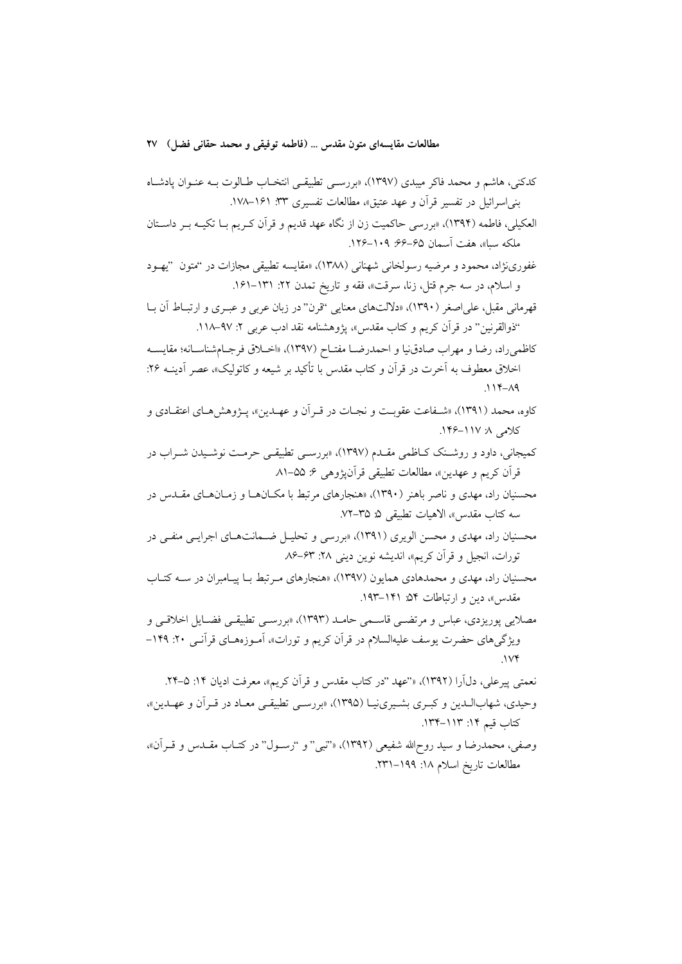- العکیلی، فاطمه (۱۳۹۴)، «بررسی حاکمیت زن از نگاه عهد قدیم و قرآن کـریم بـا تکیــه بـر داسـتان ملكه سبا»، هفت آسمان ۶۵–۶۶: ۱۰۹–۱۲۶.
- غفورينژاد، محمود و مرضيه رسولخاني شهناني (١٣٨٨)، «مقايسه تطبيقي مجازات در "متون "يهـود و اسلام، در سه جرم قتل، زنا، سرقت»، فقه و تاريخ تمدن ٢٢: ١٣١-١۶١.
- قهرماني مقبل، على اصغر (١٣٩٠)، «دلالتهاي معنايي "قرن" در زبان عربي و عبـري و ارتبــاط أن بــا ''ذوالقرنين'' در قرآن كريم و كتاب مقدس»، يژوهشنامه نقد ادب عربي ۲: ۹۷–۱۱۸.
- كاظمىراد، رضا و مهراب صادق نيا و احمدرضـا مفتـاح (١٣٩٧). «اخــلاق فرجـام شناسـانه؛ مقايســه اخلاق معطوف به آخرت در قرأن و كتاب مقدس با تأكيد بر شيعه و كاتوليك»، عصر أدينــه ٢۶:  $.114 - A9$
- کاوه، محمد (۱۳۹۱)، «شـفاعت عقوبـت و نجـات در قـراَن و عهـدين»، پـژوهشهـاي اعتقـادي و كلامى ١/ ١١٧-١۴۶.
- کمیجانی، داود و روشـنک کـاظمی مقـدم (۱۳۹۷)، «بررسـی تطبیقـی حرمـت نوشـیدن شـراب در قرآن کریم و عهدین»، مطالعات تطبیقی قرآنپژوهی ۶: ۵۵–۸۱
- محسنیان راد، مهدی و ناصر باهنر (۱۳۹۰)، «هنجارهای مرتبط با مکــانهــا و زمــانهــای مقــدس در سه كتاب مقدس»، الاهيات تطبيقي ۵: ۲۵–۷۲.
- محسنیان راد، مهدی و محسن الویری (۱۳۹۱)، «بررسی و تحلیـل ضـمانتهـای اجرایـی منفـی در تورات، انجيل و قرآن كريم»، انديشه نوين ديني ٢٨: ٥٣–٨۶
- محسنیان راد، مهدی و محمدهادی همایون (۱۳۹۷)، «هنجارهای مـرتبط بـا پیـامبران در ســه کتـاب مقدس»، دین و ارتباطات ۵۴ـ ۱۴۱–۱۹۳.
- مصلایی پوریزدی، عباس و مرتضـی قاسـمی حامـد (۱۳۹۳)، «بررسـی تطبیقـی فضـایل اخلاقـی و ویژگیهای حضرت یوسف علیهالسلام در قرآن کریم و تورات»، آمـوزههـای قرآنـی ۲۰: ۱۴۹–
- نعمتی پیرعلی، دلآرا (۱۳۹۲)، «'عهد ''در کتاب مقدس و قرآن کریم»، معرفت ادیان ۱۴: ۵–۲۴. وحيدي، شهابالـدين و كبـري بشـيريiبـا (١٣٩٥)، «بررسـي تطبيقـي معـاد در قـرأن و عهـدين»، كتاب قيم ١٤: ١١٣-١٣٤.
- وصفی، محمدرضا و سید روح\لله شفیعی (١٣٩٢)، «'تبی" و ''رسـول'' در کتـاب مقــدس و قــراَن»، مطالعات تاريخ اسلام ١٨: ١٩٩–٢٣١.